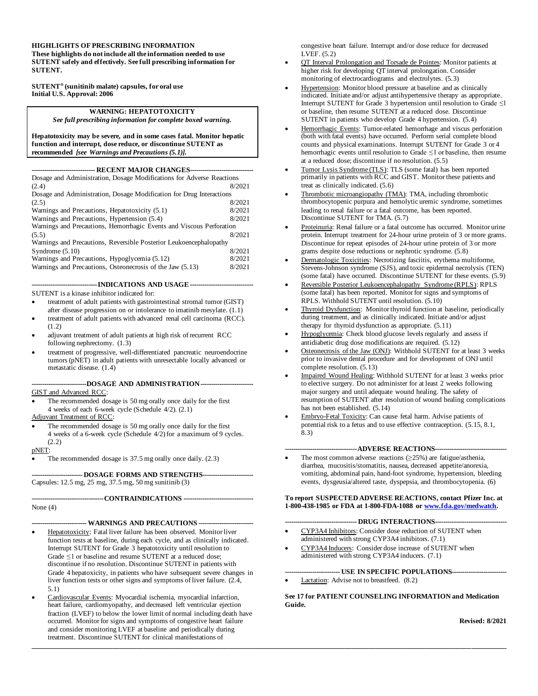#### **HIGHLIGHTS OF PRESCRIBING INFORMATION**

**These highlights do not include all the information needed to use SUTENT safely and effectively. See full prescribing information for SUTENT.**

**SUTENT® (sunitinib malate) capsules, for oral use Initial U.S. Approval: 2006**

#### **WARNING: HEPATOTOXICITY**

*See full prescribing information for complete boxed warning.*

**Hepatotoxicity may be severe, and in some cases fatal. Monitor hepatic function and interrupt, dose reduce, or discontinue SUTENT as recommended** *[see Warnings and Precautions (5.1)].*

**------------------------------ RECENT MAJOR CHANGES------------------------------**

| Dosage and Administration, Dosage Modifications for Adverse Reactions |        |  |  |
|-----------------------------------------------------------------------|--------|--|--|
| (2.4)                                                                 | 8/2021 |  |  |
| Dosage and Administration, Dosage Modification for Drug Interactions  |        |  |  |
| (2.5)                                                                 | 8/2021 |  |  |
| Warnings and Precautions, Hepatotoxicity (5.1)                        | 8/2021 |  |  |
| Warnings and Precautions, Hypertension (5.4)                          | 8/2021 |  |  |
| Warnings and Precautions, Hemorrhagic Events and Viscous Perforation  |        |  |  |
| (5.5)                                                                 | 8/2021 |  |  |
| Warnings and Precautions, Reversible Posterior Leukoencephalopathy    |        |  |  |
| Syndrome $(5.10)$                                                     | 8/2021 |  |  |
| Warnings and Precautions, Hypoglycemia (5.12)                         | 8/2021 |  |  |
| Warnings and Precautions, Osteonecrosis of the Jaw (5.13)             | 8/2021 |  |  |

#### **-------------------------------INDICATIONS AND USAGE------------------------------**

SUTENT is a kinase inhibitor indicated for:

• treatment of adult patients with gastrointestinal stromal tumor (GIST) after disease progression on or intolerance to imatinib mesylate. (1.1)

- treatment of adult patients with advanced renal cell carcinoma (RCC). (1.2)
- adjuvant treatment of adult patients at high risk of recurrent RCC following nephrectomy. (1.3)
- treatment of progressive, well-differentiated pancreatic neuroendocrine tumors (pNET) in adult patients with unresectable locally advanced or metastatic disease. (1.4)

**--------------------------DOSAGE AND ADMINISTRATION-------------------------**

GIST and Advanced RCC:

The recommended dosage is 50 mg orally once daily for the first 4 weeks of each 6-week cycle (Schedule 4/2). (2.1)

Adjuvant Treatment of RCC:

The recommended dosage is 50 mg orally once daily for the first 4 weeks of a 6-week cycle (Schedule 4/2) for a maximum of 9 cycles. (2.2)

#### pNET:

The recommended dosage is 37.5 mg orally once daily.  $(2.3)$ 

**------------------------ DOSAGE FORMS AND STRENGTHS------------------------**

Capsules: 12.5 mg, 25 mg, 37.5 mg, 50 mg sunitinib (3)

**----------------------------------CONTRAINDICATIONS ---------------------------------** None (4)

#### **-------------------------- WARNINGS AND PRECAUTIONS --------------------------**

- Hepatotoxicity: Fatal liver failure has been observed. Monitor liver function tests at baseline, during each cycle, and as clinically indicated. Interrupt SUTENT for Grade 3 hepatotoxicity until resolution to Grade ≤1 or baseline and resume SUTENT at a reduced dose; discontinue if no resolution. Discontinue SUTENT in patients with Grade 4 hepatoxicity, in patients who have subsequent severe changes in liver function tests or other signs and symptoms of liver failure. (2.4, 5.1)
- Cardiovascular Events: Myocardial ischemia, myocardial infarction, heart failure, cardiomyopathy, and decreased left ventricular ejection fraction (LVEF) to below the lower limit of normal including death have occurred. Monitor for signs and symptoms of congestive heart failure and consider monitoring LVEF at baseline and periodically during treatment. Discontinue SUTENT for clinical manifestations of

congestive heart failure. Interrupt and/or dose reduce for decreased LVEF. (5.2)

- QT Interval Prolongation and Torsade de Pointes: Monitor patients at higher risk for developing QT interval prolongation. Consider monitoring of electrocardiograms and electrolytes. (5.3)
- Hypertension: Monitor blood pressure at baseline and as clinically indicated. Initiate and/or adjust antihypertensive therapy as appropriate. Interrupt SUTENT for Grade 3 hypertension until resolution to Grade ≤1 or baseline, then resume SUTENT at a reduced dose. Discontinue SUTENT in patients who develop Grade 4 hypertension. (5.4)
- Hemorrhagic Events: Tumor-related hemorrhage and viscus perforation (both with fatal events) have occurred. Perform serial complete blood counts and physical examinations. Interrupt SUTENT for Grade 3 or 4 hemorrhagic events until resolution to Grade  $\leq 1$  or baseline, then resume at a reduced dose; discontinue if no resolution. (5.5)
- Tumor Lysis Syndrome (TLS): TLS (some fatal) has been reported primarily in patients with RCC and GIST. Monitor these patients and treat as clinically indicated. (5.6)
- Thrombotic microangiopathy (TMA): TMA, including thrombotic thrombocytopenic purpura and hemolytic uremic syndrome, sometimes leading to renal failure or a fatal outcome, has been reported. Discontinue SUTENT for TMA. (5.7)
- Proteinuria: Renal failure or a fatal outcome has occurred. Monitor urine protein. Interrupt treatment for 24-hour urine protein of 3 or more grams. Discontinue for repeat episodes of 24-hour urine protein of 3 or more grams despite dose reductions or nephrotic syndrome. (5.8)
- Dermatologic Toxicities: Necrotizing fasciitis, erythema multiforme, Stevens-Johnson syndrome (SJS), and toxic epidermal necrolysis (TEN) (some fatal) have occurred. Discontinue SUTENT for these events. (5.9)
- Reversible Posterior Leukoencephalopathy Syndrome (RPLS): RPLS (some fatal) has been reported. Monitor for signs and symptoms of RPLS. Withhold SUTENT until resolution. (5.10)
- Thyroid Dysfunction: Monitor thyroid function at baseline, periodically during treatment, and as clinically indicated. Initiate and/or adjust therapy for thyroid dysfunction as appropriate. (5.11)
- Hypoglycemia: Check blood glucose levels regularly and assess if antidiabetic drug dose modifications are required. (5.12)
- Osteonecrosis of the Jaw (ONJ): Withhold SUTENT for at least 3 weeks prior to invasive dental procedure and for development of ONJ until complete resolution. (5.13)
- Impaired Wound Healing: Withhold SUTENT for at least 3 weeks prior to elective surgery. Do not administer for at least 2 weeks following major surgery and until adequate wound healing. The safety of resumption of SUTENT after resolution of wound healing complications has not been established. (5.14)
- Embryo-Fetal Toxicity: Can cause fetal harm. Advise patients of potential risk to a fetus and to use effective contraception. (5.15, 8.1, 8.3)

#### **----------------------------------ADVERSE REACTIONS----------------------------------**

The most common adverse reactions  $(\geq 25\%)$  are fatigue/asthenia, diarrhea, mucositis/stomatitis, nausea, decreased appetite/anorexia, vomiting, abdominal pain, hand-foot syndrome, hypertension, bleeding events, dysgeusia/altered taste, dyspepsia, and thrombocytopenia. (6)

**To report SUSPECTED ADVERSE REACTIONS, contact Pfizer Inc. at 1-800-438-1985 or FDA at 1-800-FDA-1088 o[r www.fda.gov/medwatch](file://///cdsesub1/../caselb01/AppData/Local/caselb01/AppData/Local/Microsoft/AppData/Local/Microsoft/Windows/AppData/Local/Microsoft/AppData/Local/Microsoft/caselb01/AppData/caselb01/AppData/Local/Temp/2/cara/www.fda.gov/medwatch)***.*

#### **---------------------------------- DRUG INTERACTIONS----------------------------------**

- CYP3A4 Inhibitors: Consider dose reduction of SUTENT when administered with strong CYP3A4 inhibitors. (7.1)
	- CYP3A4 Inducers: Consider dose increase of SUTENT when administered with strong CYP3A4 inducers. (7.1)

#### **-------------------------- USE IN SPECIFIC POPULATIONS--------------------------**

Lactation: Advise not to breastfeed. (8.2)

**\_\_\_\_\_\_\_\_\_\_\_\_\_\_\_\_\_\_\_\_\_\_\_\_\_\_\_\_\_\_\_\_\_\_\_\_\_\_\_\_\_\_\_\_\_\_\_\_\_\_\_\_\_\_\_\_\_\_\_\_\_\_\_\_\_\_\_\_\_\_\_\_\_\_\_\_\_\_\_\_\_\_\_\_\_\_\_\_\_\_\_\_\_\_\_\_\_\_\_\_\_\_\_\_\_\_\_\_\_\_\_\_\_\_\_\_\_\_\_\_\_\_\_\_\_\_\_\_\_\_\_\_\_\_\_**

**See 17 for PATIENT COUNSELING INFORMATION and Medication Guide.**

**Revised: 8/2021**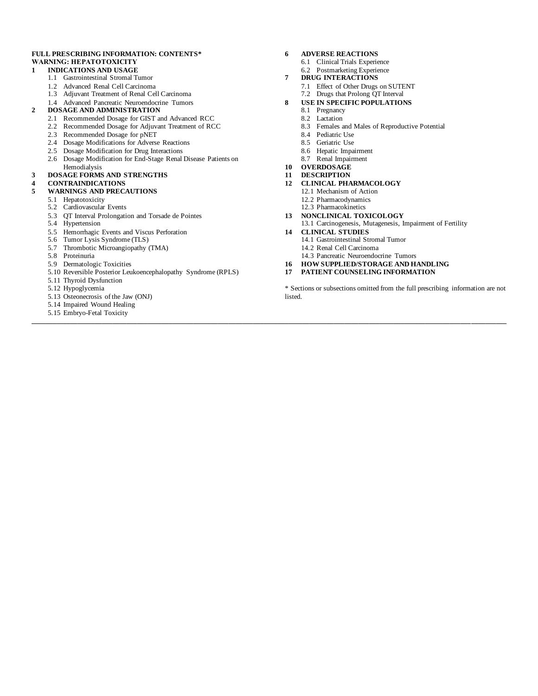#### **FULL PRESCRIBING INFORMATION: CONTENTS\* WARNING: HEPATOTOXICITY**

#### **1 INDICATIONS AND USAGE**

- 1.1 Gastrointestinal Stromal Tumor
- 1.2 Advanced Renal Cell Carcinoma
- 1.3 Adjuvant Treatment of Renal Cell Carcinoma
- 1.4 Advanced Pancreatic Neuroendocrine Tumors
- **2 DOSAGE AND ADMINISTRATION**
	- 2.1 Recommended Dosage for GIST and Advanced RCC
	- 2.2 Recommended Dosage for Adjuvant Treatment of RCC
	- 2.3 Recommended Dosage for pNET
	- 2.4 Dosage Modifications for Adverse Reactions
	- 2.5 Dosage Modification for Drug Interactions
	- 2.6 Dosage Modification for End-Stage Renal Disease Patients on Hemodialysis

#### **3 DOSAGE FORMS AND STRENGTHS**

#### **4 CONTRAINDICATIONS**

#### **5 WARNINGS AND PRECAUTIONS**

- 5.1 Hepatotoxicity
- 5.2 Cardiovascular Events
- 5.3 QT Interval Prolongation and Torsade de Pointes
- 5.4 Hypertension
- 5.5 Hemorrhagic Events and Viscus Perforation
- 5.6 Tumor Lysis Syndrome (TLS)
- 5.7 Thrombotic Microangiopathy (TMA)
- 5.8 Proteinuria
- 5.9 Dermatologic Toxicities
- 5.10 Reversible Posterior Leukoencephalopathy Syndrome (RPLS)
- 5.11 Thyroid Dysfunction
- 5.12 Hypoglycemia
- 5.13 Osteonecrosis of the Jaw (ONJ)
- 5.14 Impaired Wound Healing
- 5.15 Embryo-Fetal Toxicity **\_\_\_\_\_\_\_\_\_\_\_\_\_\_\_\_\_\_\_\_\_\_\_\_\_\_\_\_\_\_\_\_\_\_\_\_\_\_\_\_\_\_\_\_\_\_\_\_\_\_\_\_\_\_\_\_\_\_\_\_\_\_\_\_\_\_\_\_\_\_\_\_\_\_\_\_\_\_\_\_\_\_\_\_\_\_\_\_\_\_\_\_\_\_\_\_\_\_\_\_\_\_\_\_\_\_\_\_\_\_\_\_\_\_\_\_\_\_\_\_\_\_\_\_\_\_\_\_\_\_\_\_\_\_\_**
- **6 ADVERSE REACTIONS**
	- 6.1 Clinical Trials Experience
	- 6.2 Postmarketing Experience
- **7 DRUG INTERACTIONS**
	- 7.1 Effect of Other Drugs on SUTENT
- 7.2 Drugs that Prolong QT Interval **8 USE IN SPECIFIC POPULATIONS**
	- 8.1 Pregnancy
	- 8.2 Lactation
	- 8.3 Females and Males of Reproductive Potential
	- 8.4 Pediatric Use
	- 8.5 Geriatric Use
	- 8.6 Hepatic Impairment
	- 8.7 Renal Impairment
- **10 OVERDOSAGE**
- **11 DESCRIPTION**
- **12 CLINICAL PHARMACOLOGY**
	- 12.1 Mechanism of Action
	- 12.2 Pharmacodynamics
	- 12.3 Pharmacokinetics
- **13 NONCLINICAL TOXICOLOGY**
- 13.1 Carcinogenesis, Mutagenesis, Impairment of Fertility
- **14 CLINICAL STUDIES**
	- 14.1 Gastrointestinal Stromal Tumor
	- 14.2 Renal Cell Carcinoma
	- 14.3 Pancreatic Neuroendocrine Tumors
- **16 HOW SUPPLIED/STORAGE AND HANDLING**
- **17 PATIENT COUNSELING INFORMATION**

\* Sections or subsections omitted from the full prescribing information are not listed.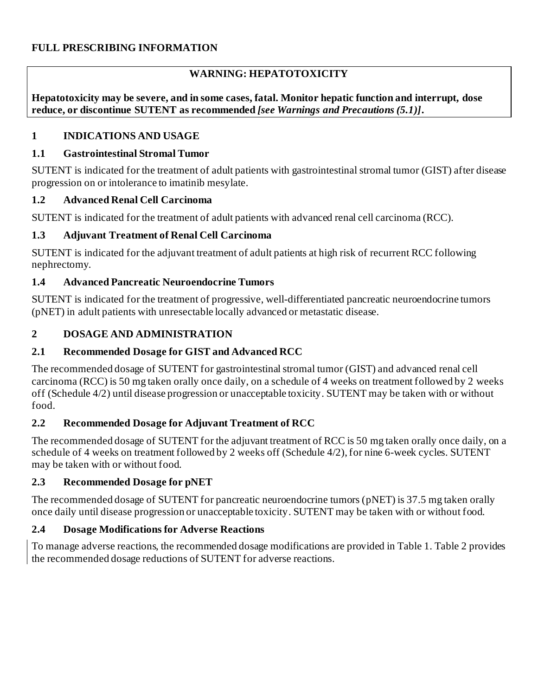# **WARNING: HEPATOTOXICITY**

**Hepatotoxicity may be severe, and in some cases, fatal. Monitor hepatic function and interrupt, dose reduce, or discontinue SUTENT as recommended** *[see Warnings and Precautions (5.1)]***.**

## **1 INDICATIONS AND USAGE**

## **1.1 Gastrointestinal Stromal Tumor**

SUTENT is indicated for the treatment of adult patients with gastrointestinal stromal tumor (GIST) after disease progression on or intolerance to imatinib mesylate.

## **1.2 Advanced Renal Cell Carcinoma**

SUTENT is indicated for the treatment of adult patients with advanced renal cell carcinoma (RCC).

## **1.3 Adjuvant Treatment of Renal Cell Carcinoma**

SUTENT is indicated for the adjuvant treatment of adult patients at high risk of recurrent RCC following nephrectomy.

### **1.4 Advanced Pancreatic Neuroendocrine Tumors**

SUTENT is indicated for the treatment of progressive, well-differentiated pancreatic neuroendocrine tumors (pNET) in adult patients with unresectable locally advanced or metastatic disease.

## **2 DOSAGE AND ADMINISTRATION**

## **2.1 Recommended Dosage for GIST and Advanced RCC**

The recommended dosage of SUTENT for gastrointestinal stromal tumor (GIST) and advanced renal cell carcinoma (RCC) is 50 mg taken orally once daily, on a schedule of 4 weeks on treatment followed by 2 weeks off (Schedule 4/2) until disease progression or unacceptable toxicity. SUTENT may be taken with or without food.

## **2.2 Recommended Dosage for Adjuvant Treatment of RCC**

The recommended dosage of SUTENT for the adjuvant treatment of RCC is 50 mg taken orally once daily, on a schedule of 4 weeks on treatment followed by 2 weeks off (Schedule 4/2), for nine 6-week cycles. SUTENT may be taken with or without food.

## **2.3 Recommended Dosage for pNET**

The recommended dosage of SUTENT for pancreatic neuroendocrine tumors (pNET) is 37.5 mg taken orally once daily until disease progression or unacceptable toxicity. SUTENT may be taken with or without food.

## **2.4 Dosage Modifications for Adverse Reactions**

To manage adverse reactions, the recommended dosage modifications are provided in Table 1. Table 2 provides the recommended dosage reductions of SUTENT for adverse reactions.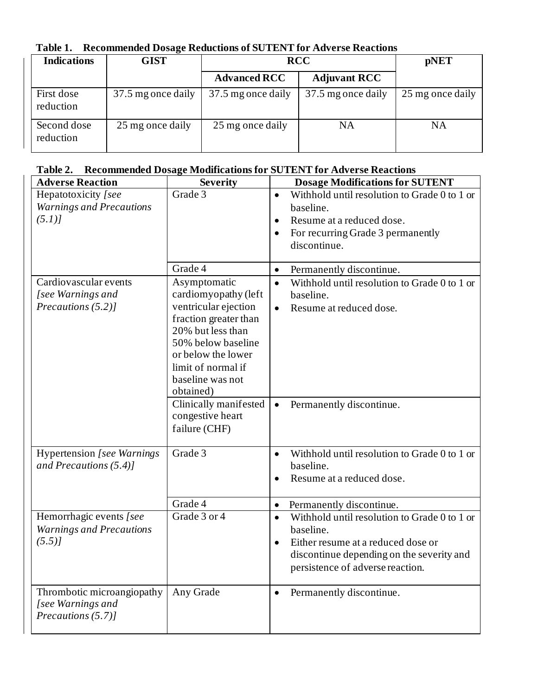|  | Table 1. Recommended Dosage Reductions of SUTENT for Adverse Reactions |
|--|------------------------------------------------------------------------|
|--|------------------------------------------------------------------------|

| <b>Indications</b>       | <b>GIST</b>        | <b>RCC</b>          | <b>pNET</b>         |                  |
|--------------------------|--------------------|---------------------|---------------------|------------------|
|                          |                    | <b>Advanced RCC</b> | <b>Adjuvant RCC</b> |                  |
| First dose<br>reduction  | 37.5 mg once daily | 37.5 mg once daily  | 37.5 mg once daily  | 25 mg once daily |
| Second dose<br>reduction | 25 mg once daily   | 25 mg once daily    | NA                  | NA               |

# **Table 2. Recommended Dosage Modifications for SUTENT for Adverse Reactions**

| <b>Adverse Reaction</b>            | <b>Severity</b>                    | <b>Dosage Modifications for SUTENT</b>                    |
|------------------------------------|------------------------------------|-----------------------------------------------------------|
| Hepatotoxicity [see                | Grade 3                            | Withhold until resolution to Grade 0 to 1 or<br>$\bullet$ |
| <b>Warnings and Precautions</b>    |                                    | baseline.                                                 |
| (5.1)                              |                                    | Resume at a reduced dose.<br>$\bullet$                    |
|                                    |                                    | For recurring Grade 3 permanently                         |
|                                    |                                    | discontinue.                                              |
|                                    |                                    |                                                           |
|                                    | Grade 4                            | Permanently discontinue.<br>$\bullet$                     |
| Cardiovascular events              | Asymptomatic                       | Withhold until resolution to Grade 0 to 1 or<br>$\bullet$ |
| [see Warnings and                  | cardiomyopathy (left               | baseline.                                                 |
| Precautions (5.2)]                 | ventricular ejection               | Resume at reduced dose.<br>$\bullet$                      |
|                                    | fraction greater than              |                                                           |
|                                    | 20% but less than                  |                                                           |
|                                    | 50% below baseline                 |                                                           |
|                                    | or below the lower                 |                                                           |
|                                    | limit of normal if                 |                                                           |
|                                    | baseline was not                   |                                                           |
|                                    | obtained)<br>Clinically manifested |                                                           |
|                                    | congestive heart                   | Permanently discontinue.<br>$\bullet$                     |
|                                    | failure (CHF)                      |                                                           |
|                                    |                                    |                                                           |
| <b>Hypertension</b> [see Warnings] | Grade 3                            | Withhold until resolution to Grade 0 to 1 or<br>$\bullet$ |
| and Precautions $(5.4)$ ]          |                                    | baseline.                                                 |
|                                    |                                    | Resume at a reduced dose.                                 |
|                                    |                                    |                                                           |
|                                    | Grade 4                            | Permanently discontinue.<br>$\bullet$                     |
| Hemorrhagic events [see            | Grade 3 or 4                       | Withhold until resolution to Grade 0 to 1 or<br>$\bullet$ |
| <b>Warnings and Precautions</b>    |                                    | baseline.                                                 |
| (5.5)                              |                                    | Either resume at a reduced dose or<br>$\bullet$           |
|                                    |                                    | discontinue depending on the severity and                 |
|                                    |                                    | persistence of adverse reaction.                          |
|                                    |                                    |                                                           |
| Thrombotic microangiopathy         | Any Grade                          | Permanently discontinue.<br>$\bullet$                     |
| [see Warnings and                  |                                    |                                                           |
| Precautions (5.7)]                 |                                    |                                                           |
|                                    |                                    |                                                           |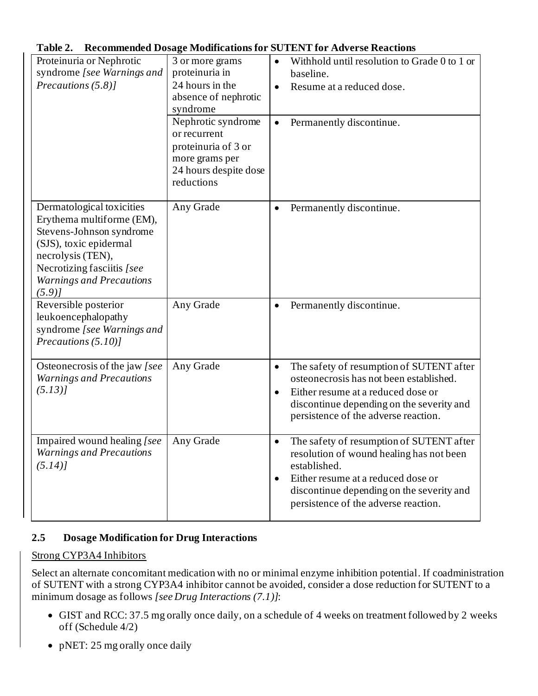|  | Table 2. Recommended Dosage Modifications for SUTENT for Adverse Reactions |
|--|----------------------------------------------------------------------------|
|--|----------------------------------------------------------------------------|

| Proteinuria or Nephrotic<br>syndrome [see Warnings and<br>Precautions (5.8)]                                                                                                                                | 3 or more grams<br>proteinuria in<br>24 hours in the<br>absence of nephrotic<br>syndrome<br>Nephrotic syndrome<br>or recurrent<br>proteinuria of 3 or<br>more grams per<br>24 hours despite dose<br>reductions | Withhold until resolution to Grade 0 to 1 or<br>$\bullet$<br>baseline.<br>Resume at a reduced dose.<br>$\bullet$<br>Permanently discontinue.                                                                                                 |
|-------------------------------------------------------------------------------------------------------------------------------------------------------------------------------------------------------------|----------------------------------------------------------------------------------------------------------------------------------------------------------------------------------------------------------------|----------------------------------------------------------------------------------------------------------------------------------------------------------------------------------------------------------------------------------------------|
| Dermatological toxicities<br>Erythema multiforme (EM),<br>Stevens-Johnson syndrome<br>(SJS), toxic epidermal<br>necrolysis (TEN),<br>Necrotizing fasciitis [see<br><b>Warnings and Precautions</b><br>(5.9) | Any Grade                                                                                                                                                                                                      | Permanently discontinue.<br>$\bullet$                                                                                                                                                                                                        |
| Reversible posterior<br>leukoencephalopathy<br>syndrome [see Warnings and<br>Precautions $(5.10)$                                                                                                           | Any Grade                                                                                                                                                                                                      | Permanently discontinue.<br>$\bullet$                                                                                                                                                                                                        |
| Osteonecrosis of the jaw [see<br><b>Warnings and Precautions</b><br>(5.13)                                                                                                                                  | Any Grade                                                                                                                                                                                                      | The safety of resumption of SUTENT after<br>$\bullet$<br>osteonecrosis has not been established.<br>Either resume at a reduced dose or<br>$\bullet$<br>discontinue depending on the severity and<br>persistence of the adverse reaction.     |
| Impaired wound healing [see<br><b>Warnings and Precautions</b><br>(5.14)                                                                                                                                    | Any Grade                                                                                                                                                                                                      | The safety of resumption of SUTENT after<br>resolution of wound healing has not been<br>established.<br>Either resume at a reduced dose or<br>$\bullet$<br>discontinue depending on the severity and<br>persistence of the adverse reaction. |

## **2.5 Dosage Modification for Drug Interactions**

## Strong CYP3A4 Inhibitors

Select an alternate concomitant medication with no or minimal enzyme inhibition potential. If coadministration of SUTENT with a strong CYP3A4 inhibitor cannot be avoided, consider a dose reduction for SUTENT to a minimum dosage as follows *[see Drug Interactions (7.1)]*:

- GIST and RCC: 37.5 mg orally once daily, on a schedule of 4 weeks on treatment followed by 2 weeks off (Schedule 4/2)
- pNET: 25 mg orally once daily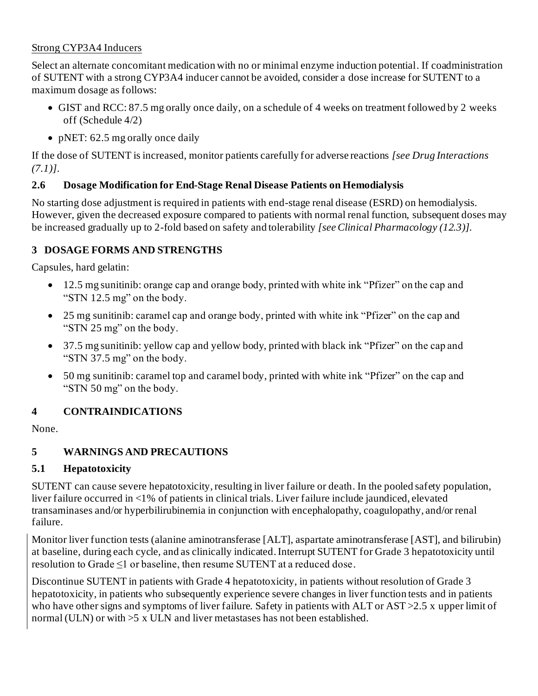## Strong CYP3A4 Inducers

Select an alternate concomitant medication with no or minimal enzyme induction potential. If coadministration of SUTENT with a strong CYP3A4 inducer cannot be avoided, consider a dose increase for SUTENT to a maximum dosage as follows:

- GIST and RCC: 87.5 mg orally once daily, on a schedule of 4 weeks on treatment followed by 2 weeks off (Schedule 4/2)
- pNET: 62.5 mg orally once daily

If the dose of SUTENT is increased, monitor patients carefully for adverse reactions *[see Drug Interactions (7.1)]*.

## **2.6 Dosage Modification for End-Stage Renal Disease Patients on Hemodialysis**

No starting dose adjustment is required in patients with end-stage renal disease (ESRD) on hemodialysis. However, given the decreased exposure compared to patients with normal renal function, subsequent doses may be increased gradually up to 2-fold based on safety and tolerability *[seeClinical Pharmacology (12.3)]*.

## **3 DOSAGE FORMS AND STRENGTHS**

Capsules, hard gelatin:

- 12.5 mg sunitinib: orange cap and orange body, printed with white ink "Pfizer" on the cap and "STN 12.5 mg" on the body.
- 25 mg sunitinib: caramel cap and orange body, printed with white ink "Pfizer" on the cap and "STN 25 mg" on the body.
- 37.5 mg sunitinib: yellow cap and yellow body, printed with black ink "Pfizer" on the cap and "STN 37.5 mg" on the body.
- 50 mg sunitinib: caramel top and caramel body, printed with white ink "Pfizer" on the cap and "STN 50 mg" on the body.

# **4 CONTRAINDICATIONS**

None.

# **5 WARNINGS AND PRECAUTIONS**

# **5.1 Hepatotoxicity**

SUTENT can cause severe hepatotoxicity, resulting in liver failure or death. In the pooled safety population, liver failure occurred in <1% of patients in clinical trials. Liver failure include jaundiced, elevated transaminases and/or hyperbilirubinemia in conjunction with encephalopathy, coagulopathy, and/or renal failure.

Monitor liver function tests (alanine aminotransferase [ALT], aspartate aminotransferase [AST], and bilirubin) at baseline, during each cycle, and as clinically indicated.Interrupt SUTENT for Grade 3 hepatotoxicity until resolution to Grade ≤1 or baseline, then resume SUTENT at a reduced dose.

Discontinue SUTENT in patients with Grade 4 hepatotoxicity, in patients without resolution of Grade 3 hepatotoxicity, in patients who subsequently experience severe changes in liver function tests and in patients who have other signs and symptoms of liver failure. Safety in patients with ALT or AST > 2.5 x upper limit of normal (ULN) or with >5 x ULN and liver metastases has not been established.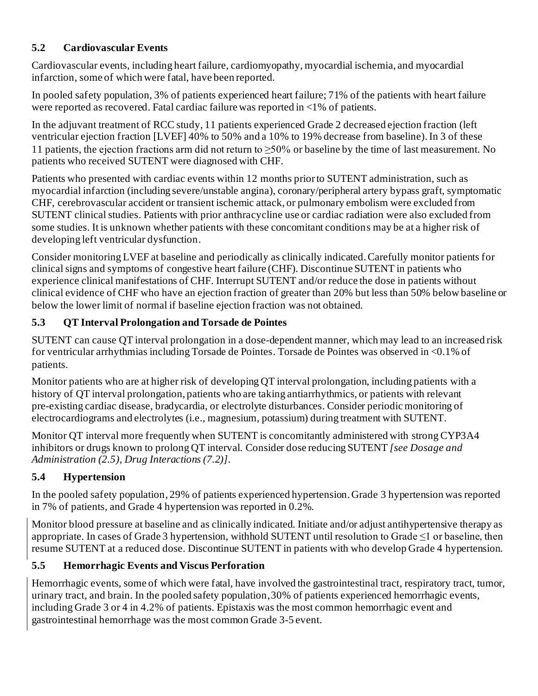# **5.2 Cardiovascular Events**

Cardiovascular events, including heart failure, cardiomyopathy, myocardial ischemia, and myocardial infarction, some of which were fatal, have been reported.

In pooled safety population, 3% of patients experienced heart failure; 71% of the patients with heart failure were reported as recovered. Fatal cardiac failure was reported in <1% of patients.

In the adjuvant treatment of RCC study, 11 patients experienced Grade 2 decreased ejection fraction (left ventricular ejection fraction [LVEF] 40% to 50% and a 10% to 19% decrease from baseline). In 3 of these 11 patients, the ejection fractions arm did not return to  $\geq$ 50% or baseline by the time of last measurement. No patients who received SUTENT were diagnosed with CHF.

Patients who presented with cardiac events within 12 months prior to SUTENT administration, such as myocardial infarction (including severe/unstable angina), coronary/peripheral artery bypass graft, symptomatic CHF, cerebrovascular accident or transient ischemic attack, or pulmonary embolism were excluded from SUTENT clinical studies. Patients with prior anthracycline use or cardiac radiation were also excluded from some studies. It is unknown whether patients with these concomitant conditions may be at a higher risk of developing left ventricular dysfunction.

Consider monitoring LVEF at baseline and periodically as clinically indicated. Carefully monitor patients for clinical signs and symptoms of congestive heart failure (CHF). Discontinue SUTENT in patients who experience clinical manifestations of CHF. Interrupt SUTENT and/or reduce the dose in patients without clinical evidence of CHF who have an ejection fraction of greater than 20% but less than 50% below baseline or below the lower limit of normal if baseline ejection fraction was not obtained.

# **5.3 QT Interval Prolongation and Torsade de Pointes**

SUTENT can cause QT interval prolongation in a dose-dependent manner, which may lead to an increased risk for ventricular arrhythmias including Torsade de Pointes. Torsade de Pointes was observed in <0.1% of patients.

Monitor patients who are at higher risk of developing QT interval prolongation, including patients with a history of QT interval prolongation, patients who are taking antiarrhythmics, or patients with relevant pre-existing cardiac disease, bradycardia, or electrolyte disturbances. Consider periodic monitoring of electrocardiograms and electrolytes (i.e., magnesium, potassium) during treatment with SUTENT.

Monitor QT interval more frequently when SUTENT is concomitantly administered with strong CYP3A4 inhibitors or drugs known to prolong QT interval. Consider dose reducing SUTENT *[see Dosage and Administration (2.5), Drug Interactions (7.2)]*.

# **5.4 Hypertension**

In the pooled safety population, 29% of patients experienced hypertension. Grade 3 hypertension was reported in 7% of patients, and Grade 4 hypertension was reported in 0.2%.

Monitor blood pressure at baseline and as clinically indicated. Initiate and/or adjust antihypertensive therapy as appropriate. In cases of Grade 3 hypertension, withhold SUTENT until resolution to Grade ≤1 or baseline, then resume SUTENT at a reduced dose. Discontinue SUTENT in patients with who develop Grade 4 hypertension.

# **5.5 Hemorrhagic Events and Viscus Perforation**

Hemorrhagic events, some of which were fatal, have involved the gastrointestinal tract, respiratory tract, tumor, urinary tract, and brain. In the pooled safety population,30% of patients experienced hemorrhagic events, including Grade 3 or 4 in 4.2% of patients. Epistaxis was the most common hemorrhagic event and gastrointestinal hemorrhage was the most common Grade 3-5 event.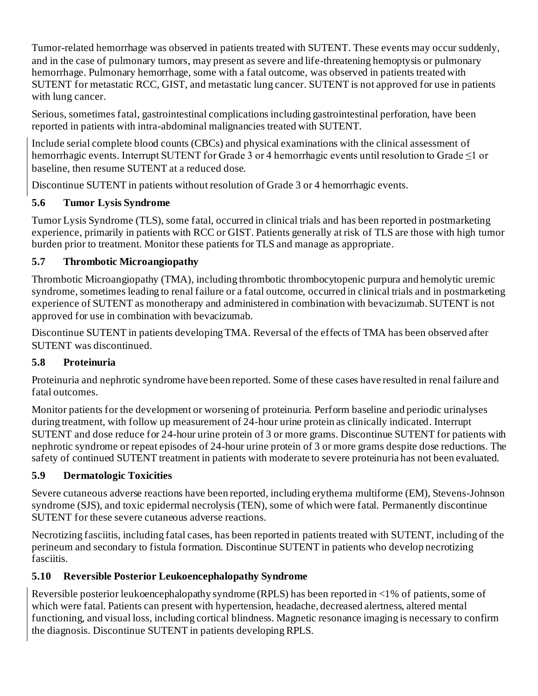Tumor-related hemorrhage was observed in patients treated with SUTENT. These events may occur suddenly, and in the case of pulmonary tumors, may present as severe and life-threatening hemoptysis or pulmonary hemorrhage. Pulmonary hemorrhage, some with a fatal outcome, was observed in patients treated with SUTENT for metastatic RCC, GIST, and metastatic lung cancer. SUTENT is not approved for use in patients with lung cancer.

Serious, sometimes fatal, gastrointestinal complications including gastrointestinal perforation, have been reported in patients with intra-abdominal malignancies treated with SUTENT.

Include serial complete blood counts (CBCs) and physical examinations with the clinical assessment of hemorrhagic events. Interrupt SUTENT for Grade 3 or 4 hemorrhagic events until resolution to Grade ≤1 or baseline, then resume SUTENT at a reduced dose.

Discontinue SUTENT in patients without resolution of Grade 3 or 4 hemorrhagic events.

# **5.6 Tumor Lysis Syndrome**

Tumor Lysis Syndrome (TLS), some fatal, occurred in clinical trials and has been reported in postmarketing experience, primarily in patients with RCC or GIST. Patients generally at risk of TLS are those with high tumor burden prior to treatment. Monitor these patients for TLS and manage as appropriate.

# **5.7 Thrombotic Microangiopathy**

Thrombotic Microangiopathy (TMA), including thrombotic thrombocytopenic purpura and hemolytic uremic syndrome, sometimes leading to renal failure or a fatal outcome, occurred in clinical trials and in postmarketing experience of SUTENT as monotherapy and administered in combination with bevacizumab. SUTENT is not approved for use in combination with bevacizumab.

Discontinue SUTENT in patients developing TMA. Reversal of the effects of TMA has been observed after SUTENT was discontinued.

# **5.8 Proteinuria**

Proteinuria and nephrotic syndrome have been reported. Some of these cases have resulted in renal failure and fatal outcomes.

Monitor patients for the development or worsening of proteinuria. Perform baseline and periodic urinalyses during treatment, with follow up measurement of 24-hour urine protein as clinically indicated. Interrupt SUTENT and dose reduce for 24-hour urine protein of 3 or more grams. Discontinue SUTENT for patients with nephrotic syndrome or repeat episodes of 24-hour urine protein of 3 or more grams despite dose reductions. The safety of continued SUTENT treatment in patients with moderate to severe proteinuria has not been evaluated.

# **5.9 Dermatologic Toxicities**

Severe cutaneous adverse reactions have been reported, including erythema multiforme (EM), Stevens-Johnson syndrome (SJS), and toxic epidermal necrolysis (TEN), some of which were fatal. Permanently discontinue SUTENT for these severe cutaneous adverse reactions.

Necrotizing fasciitis, including fatal cases, has been reported in patients treated with SUTENT, including of the perineum and secondary to fistula formation. Discontinue SUTENT in patients who develop necrotizing fasciitis.

# **5.10 Reversible Posterior Leukoencephalopathy Syndrome**

Reversible posterior leukoencephalopathy syndrome (RPLS) has been reported in <1% of patients, some of which were fatal. Patients can present with hypertension, headache, decreased alertness, altered mental functioning, and visual loss, including cortical blindness. Magnetic resonance imaging is necessary to confirm the diagnosis. Discontinue SUTENT in patients developing RPLS.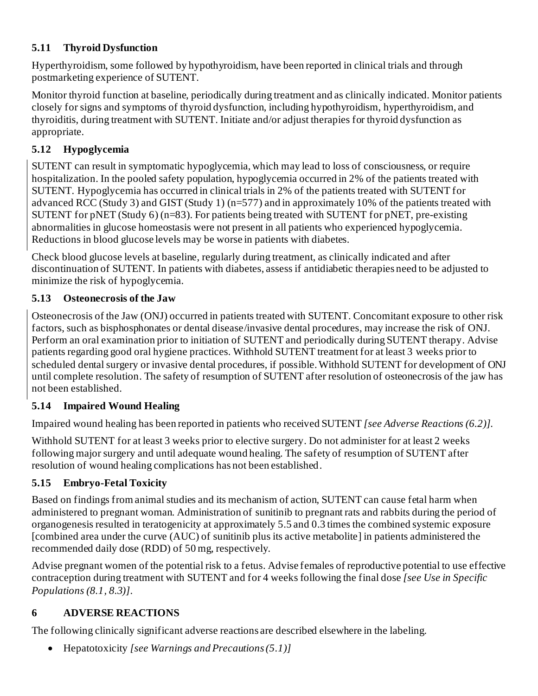# **5.11 Thyroid Dysfunction**

Hyperthyroidism, some followed by hypothyroidism, have been reported in clinical trials and through postmarketing experience of SUTENT.

Monitor thyroid function at baseline, periodically during treatment and as clinically indicated. Monitor patients closely for signs and symptoms of thyroid dysfunction, including hypothyroidism, hyperthyroidism, and thyroiditis, during treatment with SUTENT. Initiate and/or adjust therapies for thyroid dysfunction as appropriate.

# **5.12 Hypoglycemia**

SUTENT can result in symptomatic hypoglycemia, which may lead to loss of consciousness, or require hospitalization. In the pooled safety population, hypoglycemia occurred in 2% of the patients treated with SUTENT. Hypoglycemia has occurred in clinical trials in 2% of the patients treated with SUTENT for advanced RCC (Study 3) and GIST (Study 1) (n=577) and in approximately 10% of the patients treated with SUTENT for pNET (Study 6) (n=83). For patients being treated with SUTENT for pNET, pre-existing abnormalities in glucose homeostasis were not present in all patients who experienced hypoglycemia. Reductions in blood glucose levels may be worse in patients with diabetes.

Check blood glucose levels at baseline, regularly during treatment, as clinically indicated and after discontinuation of SUTENT. In patients with diabetes, assess if antidiabetic therapies need to be adjusted to minimize the risk of hypoglycemia.

# **5.13 Osteonecrosis of the Jaw**

Osteonecrosis of the Jaw (ONJ) occurred in patients treated with SUTENT. Concomitant exposure to other risk factors, such as bisphosphonates or dental disease/invasive dental procedures, may increase the risk of ONJ. Perform an oral examination prior to initiation of SUTENT and periodically during SUTENT therapy. Advise patients regarding good oral hygiene practices. Withhold SUTENT treatment for at least 3 weeks prior to scheduled dental surgery or invasive dental procedures, if possible. Withhold SUTENT for development of ONJ until complete resolution. The safety of resumption of SUTENT after resolution of osteonecrosis of the jaw has not been established.

# **5.14 Impaired Wound Healing**

Impaired wound healing has been reported in patients who received SUTENT *[see Adverse Reactions (6.2)]*.

Withhold SUTENT for at least 3 weeks prior to elective surgery. Do not administer for at least 2 weeks following major surgery and until adequate wound healing. The safety of resumption of SUTENT after resolution of wound healing complications has not been established.

# **5.15 Embryo-Fetal Toxicity**

Based on findings from animal studies and its mechanism of action, SUTENT can cause fetal harm when administered to pregnant woman. Administration of sunitinib to pregnant rats and rabbits during the period of organogenesis resulted in teratogenicity at approximately 5.5 and 0.3 times the combined systemic exposure [combined area under the curve (AUC) of sunitinib plus its active metabolite] in patients administered the recommended daily dose (RDD) of 50 mg, respectively.

Advise pregnant women of the potential risk to a fetus. Advise females of reproductive potential to use effective contraception during treatment with SUTENT and for 4 weeks following the final dose *[see Use in Specific Populations (8.1, 8.3)]*.

# **6 ADVERSE REACTIONS**

The following clinically significant adverse reactions are described elsewhere in the labeling.

• Hepatotoxicity *[see Warnings and Precautions (5.1)]*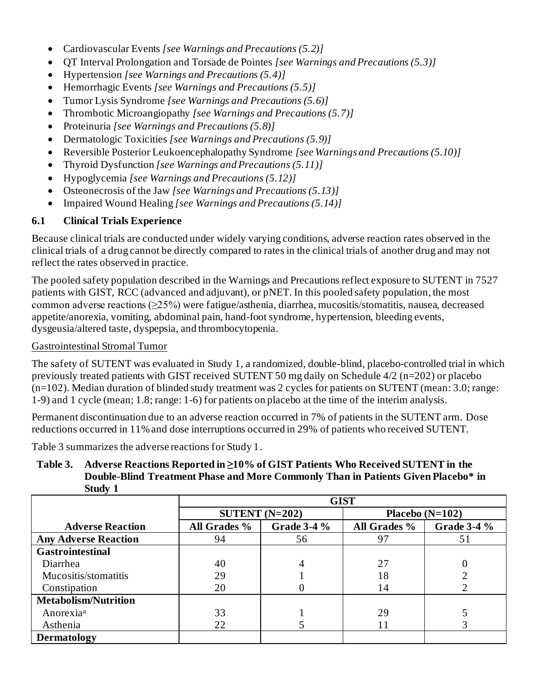- Cardiovascular Events *[see Warnings and Precautions (5.2)]*
- QT Interval Prolongation and Torsade de Pointes *[see Warnings and Precautions (5.3)]*
- Hypertension *[see Warnings and Precautions (5.4)]*
- Hemorrhagic Events *[see Warnings and Precautions (5.5)]*
- Tumor Lysis Syndrome *[see Warnings and Precautions (5.6)]*
- Thrombotic Microangiopathy *[see Warnings and Precautions (5.7)]*
- Proteinuria *[see Warnings and Precautions (5.8)]*
- Dermatologic Toxicities *[see Warnings and Precautions (5.9)]*
- Reversible Posterior Leukoencephalopathy Syndrome *[see Warnings and Precautions (5.10)]*
- Thyroid Dysfunction *[see Warnings and Precautions (5.11)]*
- Hypoglycemia *[see Warnings and Precautions (5.12)]*
- Osteonecrosis of the Jaw *[see Warnings and Precautions (5.13)]*
- Impaired Wound Healing *[see Warnings and Precautions (5.14)]*

## **6.1 Clinical Trials Experience**

Because clinical trials are conducted under widely varying conditions, adverse reaction rates observed in the clinical trials of a drug cannot be directly compared to rates in the clinical trials of another drug and may not reflect the rates observed in practice.

The pooled safety population described in the Warnings and Precautions reflect exposure to SUTENT in 7527 patients with GIST, RCC (advanced and adjuvant), or pNET. In this pooled safety population, the most common adverse reactions (≥25%) were fatigue/asthenia, diarrhea, mucositis/stomatitis, nausea, decreased appetite/anorexia, vomiting, abdominal pain, hand-foot syndrome, hypertension, bleeding events, dysgeusia/altered taste, dyspepsia, and thrombocytopenia.

#### Gastrointestinal Stromal Tumor

The safety of SUTENT was evaluated in Study 1, a randomized, double-blind, placebo-controlled trial in which previously treated patients with GIST received SUTENT 50 mg daily on Schedule 4/2 (n=202) or placebo (n=102). Median duration of blinded study treatment was 2 cycles for patients on SUTENT (mean: 3.0; range: 1-9) and 1 cycle (mean; 1.8; range: 1-6) for patients on placebo at the time of the interim analysis.

Permanent discontinuation due to an adverse reaction occurred in 7% of patients in the SUTENT arm. Dose reductions occurred in 11%and dose interruptions occurred in 29% of patients who received SUTENT.

Table 3 summarizes the adverse reactions for Study 1.

**Table 3. Adverse Reactions Reported in ≥10% of GIST Patients Who Received SUTENT in the Double-Blind Treatment Phase and More Commonly Than in Patients Given Placebo\* in Study 1**

|                             | <b>GIST</b>  |                    |              |                    |
|-----------------------------|--------------|--------------------|--------------|--------------------|
|                             |              | SUTENT $(N=202)$   |              | Placebo $(N=102)$  |
| <b>Adverse Reaction</b>     | All Grades % | <b>Grade 3-4 %</b> | All Grades % | <b>Grade 3-4 %</b> |
| <b>Any Adverse Reaction</b> | 94           | 56                 | 97           | 51                 |
| <b>Gastrointestinal</b>     |              |                    |              |                    |
| Diarrhea                    | 40           | 4                  | 27           |                    |
| Mucositis/stomatitis        | 29           |                    | 18           |                    |
| Constipation                | 20           |                    | 14           |                    |
| <b>Metabolism/Nutrition</b> |              |                    |              |                    |
| Anorexia <sup>a</sup>       | 33           |                    | 29           |                    |
| Asthenia                    | 22           |                    | 11           |                    |
| <b>Dermatology</b>          |              |                    |              |                    |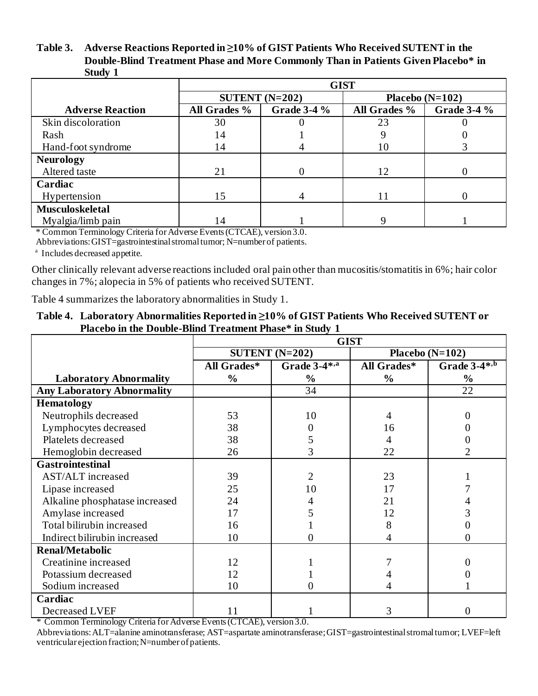#### **Table 3. Adverse Reactions Reported in ≥10% of GIST Patients Who Received SUTENT in the Double-Blind Treatment Phase and More Commonly Than in Patients Given Placebo\* in Study 1**

|                         | <b>GIST</b>  |                    |                   |                    |
|-------------------------|--------------|--------------------|-------------------|--------------------|
|                         |              | SUTENT $(N=202)$   | Placebo $(N=102)$ |                    |
| <b>Adverse Reaction</b> | All Grades % | <b>Grade 3-4 %</b> | All Grades %      | <b>Grade 3-4 %</b> |
| Skin discoloration      | 30           |                    | 23                |                    |
| Rash                    | 14           |                    |                   |                    |
| Hand-foot syndrome      | 14           |                    | 10                |                    |
| <b>Neurology</b>        |              |                    |                   |                    |
| Altered taste           | 21           | 0                  | 12                | 0                  |
| Cardiac                 |              |                    |                   |                    |
| Hypertension            | 15           | 4                  |                   | 0                  |
| <b>Musculoskeletal</b>  |              |                    |                   |                    |
| Myalgia/limb pain       | 14           |                    |                   |                    |

\* Common Terminology Criteria for Adverse Events (CTCAE), version 3.0.

Abbreviations: GIST=gastrointestinal stromal tumor; N=number of patients.

a Includes decreased appetite.

Other clinically relevant adverse reactions included oral pain other than mucositis/stomatitis in 6%; hair color changes in 7%; alopecia in 5% of patients who received SUTENT.

Table 4 summarizes the laboratory abnormalities in Study 1.

#### **Table 4. Laboratory Abnormalities Reported in ≥10% of GIST Patients Who Received SUTENT or Placebo in the Double-Blind Treatment Phase\* in Study 1**

|                                   | <b>GIST</b>      |                |                   |                            |
|-----------------------------------|------------------|----------------|-------------------|----------------------------|
|                                   | SUTENT $(N=202)$ |                | Placebo $(N=102)$ |                            |
|                                   | All Grades*      | Grade 3-4*,a   | All Grades*       | Grade $3-4*$ <sup>,b</sup> |
| <b>Laboratory Abnormality</b>     | $\frac{0}{0}$    | $\frac{6}{9}$  | $\frac{0}{0}$     | $\frac{6}{9}$              |
| <b>Any Laboratory Abnormality</b> |                  | 34             |                   | 22                         |
| <b>Hematology</b>                 |                  |                |                   |                            |
| Neutrophils decreased             | 53               | 10             | 4                 |                            |
| Lymphocytes decreased             | 38               |                | 16                |                            |
| Platelets decreased               | 38               |                | 4                 |                            |
| Hemoglobin decreased              | 26               | 3              | 22                | 2                          |
| Gastrointestinal                  |                  |                |                   |                            |
| <b>AST/ALT</b> increased          | 39               | $\overline{2}$ | 23                |                            |
| Lipase increased                  | 25               | 10             | 17                |                            |
| Alkaline phosphatase increased    | 24               |                | 21                |                            |
| Amylase increased                 | 17               |                | 12                |                            |
| Total bilirubin increased         | 16               |                | 8                 |                            |
| Indirect bilirubin increased      | 10               |                | 4                 | 0                          |
| <b>Renal/Metabolic</b>            |                  |                |                   |                            |
| Creatinine increased              | 12               |                |                   |                            |
| Potassium decreased               | 12               |                |                   |                            |
| Sodium increased                  | 10               | 0              |                   |                            |
| Cardiac                           |                  |                |                   |                            |
| Decreased LVEF                    | 11               |                | 3                 | 0                          |

\* Common Terminology Criteria for Adverse Events (CTCAE), version 3.0.

Abbreviations: ALT=alanine aminotransferase; AST=aspartate aminotransferase;GIST=gastrointestinal stromal tumor; LVEF=left ventricular ejection fraction; N=number of patients.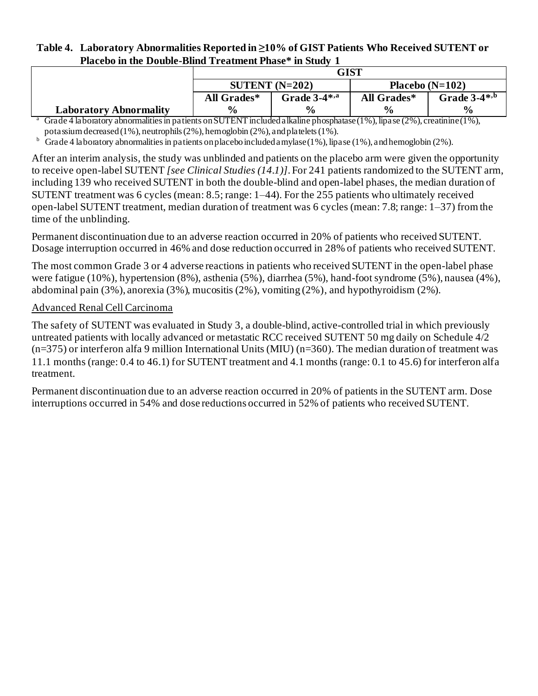#### **Table 4. Laboratory Abnormalities Reported in ≥10% of GIST Patients Who Received SUTENT or Placebo in the Double-Blind Treatment Phase\* in Study 1**

| SUTENT $(N=202)$   |                   | Placebo $(N=102)$ |                   |  |  |
|--------------------|-------------------|-------------------|-------------------|--|--|
| All Grades*        | Grade $3-4^{*,a}$ | All Grades*       | Grade $3-4^{*,b}$ |  |  |
| $\frac{0}{\alpha}$ | $\frac{0}{0}$     | $\frac{0}{0}$     | $\frac{6}{10}$    |  |  |

Grade 4 laboratory abnormalities in patients on SUTENT included alkaline phosphatase (1%), lipase (2%), creatinine (1%), potassium decreased (1%), neutrophils (2%), hemoglobin (2%), and platelets (1%).

 $\overline{b}$  Grade 4 laboratory abnormalities in patients on placebo included amylase (1%), lipase (1%), and hemoglobin (2%).

After an interim analysis*,* the study was unblinded and patients on the placebo arm were given the opportunity to receive open-label SUTENT *[see Clinical Studies (14.1)]*. For 241 patients randomized to the SUTENT arm, including 139 who received SUTENT in both the double-blind and open-label phases, the median duration of SUTENT treatment was 6 cycles (mean: 8.5; range: 1–44). For the 255 patients who ultimately received open-label SUTENT treatment, median duration of treatment was 6 cycles (mean: 7.8; range: 1–37) from the time of the unblinding.

Permanent discontinuation due to an adverse reaction occurred in 20% of patients who received SUTENT. Dosage interruption occurred in 46% and dose reduction occurred in 28% of patients who received SUTENT.

The most common Grade 3 or 4 adverse reactions in patients who received SUTENT in the open-label phase were fatigue (10%), hypertension (8%), asthenia (5%), diarrhea (5%), hand-foot syndrome (5%), nausea (4%), abdominal pain (3%), anorexia (3%), mucositis (2%), vomiting (2%), and hypothyroidism (2%).

### Advanced Renal Cell Carcinoma

**Laboratory Abnormality**

The safety of SUTENT was evaluated in Study 3, a double-blind, active-controlled trial in which previously untreated patients with locally advanced or metastatic RCC received SUTENT 50 mg daily on Schedule 4/2  $(n=375)$  or interferon alfa 9 million International Units (MIU)  $(n=360)$ . The median duration of treatment was 11.1 months (range: 0.4 to 46.1) for SUTENT treatment and 4.1 months (range: 0.1 to 45.6) for interferon alfa treatment.

Permanent discontinuation due to an adverse reaction occurred in 20% of patients in the SUTENT arm. Dose interruptions occurred in 54% and dose reductions occurred in 52% of patients who received SUTENT.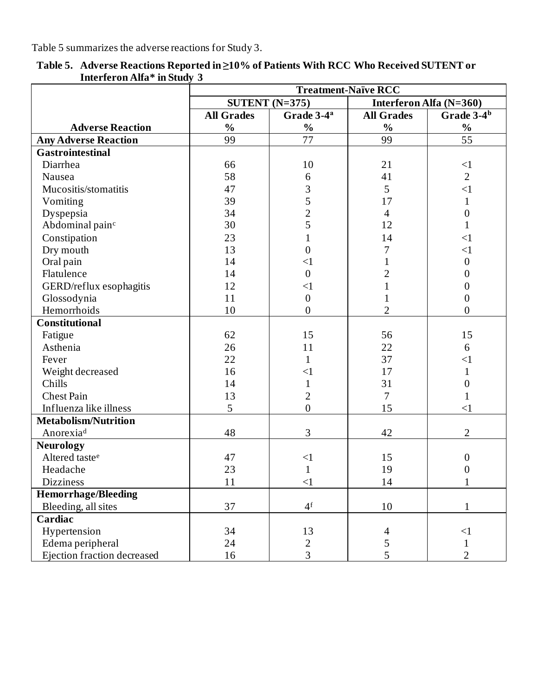Table 5 summarizes the adverse reactions for Study 3.

|                             | <b>Treatment-Naïve RCC</b>                                    |                        |                   |                        |
|-----------------------------|---------------------------------------------------------------|------------------------|-------------------|------------------------|
|                             | $\overline{\text{SUTENT}}$ (N=375)<br>Interferon Alfa (N=360) |                        |                   |                        |
|                             | <b>All Grades</b>                                             | Grade 3-4 <sup>a</sup> | <b>All Grades</b> | Grade 3-4 <sup>b</sup> |
| <b>Adverse Reaction</b>     | $\frac{0}{0}$                                                 | $\frac{0}{0}$          | $\frac{0}{0}$     | $\frac{0}{0}$          |
| <b>Any Adverse Reaction</b> | 99                                                            | 77                     | 99                | 55                     |
| <b>Gastrointestinal</b>     |                                                               |                        |                   |                        |
| Diarrhea                    | 66                                                            | 10                     | 21                | $\leq$ 1               |
| Nausea                      | 58                                                            | 6                      | 41                | $\overline{2}$         |
| Mucositis/stomatitis        | 47                                                            | 3                      | 5                 | $\leq$ 1               |
| Vomiting                    | 39                                                            | 5                      | 17                | $\mathbf{1}$           |
| Dyspepsia                   | 34                                                            | $\overline{c}$         | $\overline{4}$    | $\boldsymbol{0}$       |
| Abdominal painc             | 30                                                            | 5                      | 12                |                        |
| Constipation                | 23                                                            |                        | 14                | $\leq$ 1               |
| Dry mouth                   | 13                                                            | $\overline{0}$         | 7                 | $\leq$ 1               |
| Oral pain                   | 14                                                            | $\leq$ 1               | $\mathbf{1}$      | $\boldsymbol{0}$       |
| Flatulence                  | 14                                                            | $\overline{0}$         | $\overline{2}$    | 0                      |
| GERD/reflux esophagitis     | 12                                                            | $\leq$ 1               | $\mathbf{1}$      | $\overline{0}$         |
| Glossodynia                 | 11                                                            | $\boldsymbol{0}$       | $\mathbf{1}$      | $\boldsymbol{0}$       |
| Hemorrhoids                 | 10                                                            | $\overline{0}$         | $\overline{2}$    | $\overline{0}$         |
| <b>Constitutional</b>       |                                                               |                        |                   |                        |
| Fatigue                     | 62                                                            | 15                     | 56                | 15                     |
| Asthenia                    | 26                                                            | 11                     | 22                | 6                      |
| Fever                       | 22                                                            | $\mathbf{1}$           | 37                | $\leq$ 1               |
| Weight decreased            | 16                                                            | $\leq$ 1               | 17                | 1                      |
| Chills                      | 14                                                            | $\mathbf{1}$           | 31                | $\overline{0}$         |
| <b>Chest Pain</b>           | 13                                                            | $\overline{2}$         | $\overline{7}$    | 1                      |
| Influenza like illness      | 5                                                             | $\overline{0}$         | 15                | $\leq$ 1               |
| <b>Metabolism/Nutrition</b> |                                                               |                        |                   |                        |
| Anorexia <sup>d</sup>       | 48                                                            | 3                      | 42                | $\overline{2}$         |
| <b>Neurology</b>            |                                                               |                        |                   |                        |
| Altered taste <sup>e</sup>  | 47                                                            | $\leq$ 1               | 15                | $\boldsymbol{0}$       |
| Headache                    | 23                                                            | $\mathbf{1}$           | 19                | $\boldsymbol{0}$       |
| <b>Dizziness</b>            | 11                                                            | $\leq$ 1               | 14                |                        |
| <b>Hemorrhage/Bleeding</b>  |                                                               |                        |                   |                        |
| Bleeding, all sites         | 37                                                            | 4 <sup>f</sup>         | 10                |                        |
| Cardiac                     |                                                               |                        |                   |                        |
| Hypertension                | 34                                                            | 13                     | $\overline{4}$    | $\leq$ 1               |
| Edema peripheral            | 24                                                            | $\overline{2}$         | 5                 | $\mathbf{1}$           |
| Ejection fraction decreased | 16                                                            | 3                      | 5                 | $\overline{2}$         |

**Table 5. Adverse Reactions Reported in ≥10% of Patients With RCC Who Received SUTENT or Interferon Alfa\* in Study 3**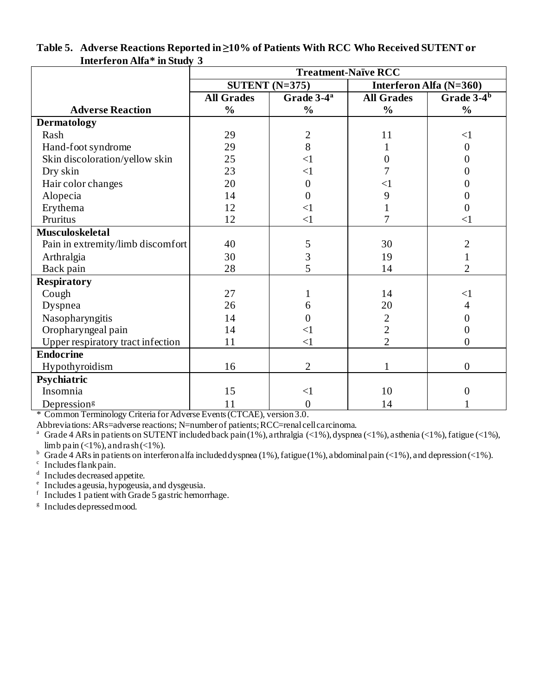|                                   | <b>Treatment-Naïve RCC</b> |                        |                   |                                       |
|-----------------------------------|----------------------------|------------------------|-------------------|---------------------------------------|
|                                   |                            | SUTENT $(N=375)$       |                   | Interferon Alfa (N=360)               |
|                                   | <b>All Grades</b>          | Grade 3-4 <sup>a</sup> | <b>All Grades</b> | Grade $3-\overline{4}^{\overline{b}}$ |
| <b>Adverse Reaction</b>           | $\frac{0}{0}$              | $\frac{0}{0}$          | $\frac{0}{0}$     | $\frac{0}{0}$                         |
| <b>Dermatology</b>                |                            |                        |                   |                                       |
| Rash                              | 29                         | $\mathbf{2}$           | 11                | $\leq$ 1                              |
| Hand-foot syndrome                | 29                         | 8                      |                   | $\boldsymbol{0}$                      |
| Skin discoloration/yellow skin    | 25                         | $\leq$ 1               | 0                 | 0                                     |
| Dry skin                          | 23                         | $\leq$ 1               |                   | 0                                     |
| Hair color changes                | 20                         | $\boldsymbol{0}$       | $<$ l             | 0                                     |
| Alopecia                          | 14                         | $\overline{0}$         | 9                 | 0                                     |
| Erythema                          | 12                         | $\leq$ 1               |                   | 0                                     |
| Pruritus                          | 12                         | $\leq$ 1               | $\overline{7}$    | $\leq$ 1                              |
| <b>Musculoskeletal</b>            |                            |                        |                   |                                       |
| Pain in extremity/limb discomfort | 40                         | 5                      | 30                | $\overline{c}$                        |
| Arthralgia                        | 30                         | 3                      | 19                |                                       |
| Back pain                         | 28                         | 5                      | 14                | $\overline{2}$                        |
| <b>Respiratory</b>                |                            |                        |                   |                                       |
| Cough                             | 27                         |                        | 14                | $<$ 1                                 |
| Dyspnea                           | 26                         | 6                      | 20                | 4                                     |
| Nasopharyngitis                   | 14                         | 0                      | $\overline{c}$    | 0                                     |
| Oropharyngeal pain                | 14                         | $\leq$ 1               | $\overline{2}$    | 0                                     |
| Upper respiratory tract infection | 11                         | $\leq$ 1               | $\overline{2}$    | $\overline{0}$                        |
| <b>Endocrine</b>                  |                            |                        |                   |                                       |
| Hypothyroidism                    | 16                         | $\overline{2}$         |                   | $\overline{0}$                        |
| Psychiatric                       |                            |                        |                   |                                       |
| Insomnia                          | 15                         | $\leq$ 1               | 10                | 0                                     |
| Depression <sup>g</sup>           | 11                         | $\overline{0}$         | 14                |                                       |

#### **Table 5. Adverse Reactions Reported in ≥10% of Patients With RCC Who Received SUTENT or Interferon Alfa\* in Study 3**

\* Common Terminology Criteria for Adverse Events (CTCAE), version 3.0.

Abbreviations: ARs=adverse reactions; N=number of patients; RCC=renal cell carcinoma.

<sup>a</sup> Grade 4 ARs in patients on SUTENT included back pain (1%), arthralgia (<1%), dyspnea (<1%), asthenia (<1%), fatigue (<1%), limb pain  $\left($  <1%), and rash  $\left($  <1%).

b Grade 4 ARs in patients on interferon alfa included dyspnea (1%), fatigue (1%), abdominal pain (<1%), and depression (<1%).

c Includes flank pain.

<sup>d</sup> Includes decreased appetite.

e Includes ageusia, hypogeusia, and dysgeusia.

f Includes 1 patient with Grade 5 gastric hemorrhage.

<sup>g</sup> Includes depressed mood.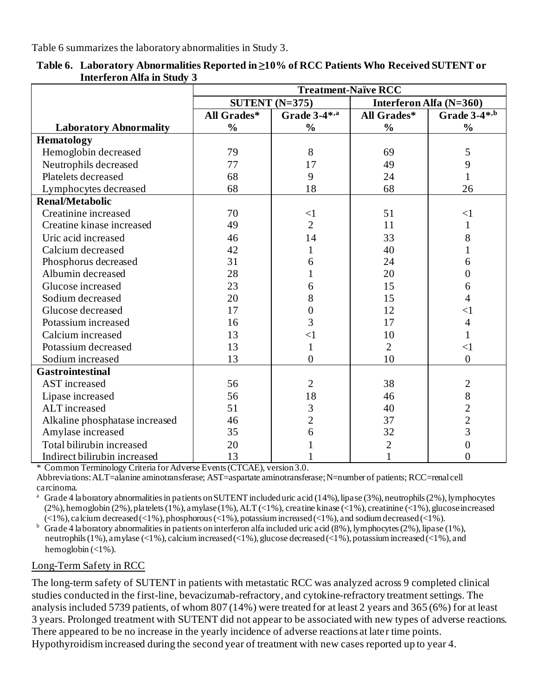Table 6 summarizes the laboratory abnormalities in Study 3.

|                                | <b>Treatment-Naïve RCC</b> |                  |                         |                |  |
|--------------------------------|----------------------------|------------------|-------------------------|----------------|--|
|                                |                            | SUTENT $(N=375)$ | Interferon Alfa (N=360) |                |  |
|                                | All Grades*                | Grade 3-4*,a     | All Grades*             | Grade 3-4*,b   |  |
| <b>Laboratory Abnormality</b>  | $\frac{0}{0}$              | $\frac{0}{0}$    | $\frac{0}{0}$           | $\frac{0}{0}$  |  |
| <b>Hematology</b>              |                            |                  |                         |                |  |
| Hemoglobin decreased           | 79                         | 8                | 69                      | 5              |  |
| Neutrophils decreased          | 77                         | 17               | 49                      | 9              |  |
| Platelets decreased            | 68                         | 9                | 24                      |                |  |
| Lymphocytes decreased          | 68                         | 18               | 68                      | 26             |  |
| <b>Renal/Metabolic</b>         |                            |                  |                         |                |  |
| Creatinine increased           | 70                         | $\leq$ 1         | 51                      | $\leq$ 1       |  |
| Creatine kinase increased      | 49                         | $\overline{2}$   | 11                      | 1              |  |
| Uric acid increased            | 46                         | 14               | 33                      | 8              |  |
| Calcium decreased              | 42                         | 1                | 40                      |                |  |
| Phosphorus decreased           | 31                         | 6                | 24                      | 6              |  |
| Albumin decreased              | 28                         |                  | 20                      | 0              |  |
| Glucose increased              | 23                         | 6                | 15                      | 6              |  |
| Sodium decreased               | 20                         | 8                | 15                      | 4              |  |
| Glucose decreased              | 17                         | $\overline{0}$   | 12                      | $<$ l          |  |
| Potassium increased            | 16                         | 3                | 17                      | 4              |  |
| Calcium increased              | 13                         | $\leq$ 1         | 10                      | 1              |  |
| Potassium decreased            | 13                         | 1                | $\overline{2}$          | $<$ 1          |  |
| Sodium increased               | 13                         | $\theta$         | 10                      | $\overline{0}$ |  |
| <b>Gastrointestinal</b>        |                            |                  |                         |                |  |
| <b>AST</b> increased           | 56                         | $\overline{2}$   | 38                      | $\overline{2}$ |  |
| Lipase increased               | 56                         | 18               | 46                      | $\,8\,$        |  |
| ALT increased                  | 51                         | 3                | 40                      | $\overline{2}$ |  |
| Alkaline phosphatase increased | 46                         | $\overline{2}$   | 37                      | $\overline{c}$ |  |
| Amylase increased              | 35                         | 6                | 32                      | $\overline{3}$ |  |
| Total bilirubin increased      | 20                         |                  | $\overline{2}$          | 0              |  |
| Indirect bilirubin increased   | 13                         |                  |                         | $\overline{0}$ |  |

**Table 6. Laboratory Abnormalities Reported in ≥10% of RCC Patients Who Received SUTENT or Interferon Alfa in Study 3**

\* Common Terminology Criteria for Adverse Events (CTCAE), version 3.0.

Abbreviations: ALT=alanine aminotransferase; AST=aspartate aminotransferase;N=number of patients; RCC=renal cell carcinoma.

<sup>a</sup> Grade 4 laboratory abnormalities in patients on SUTENT included uric acid (14%), lipase (3%), neutrophils (2%), lymphocytes (2%), hemoglobin (2%), platelets (1%), amylase (1%), ALT (<1%), creatine kinase (<1%), creatinine (<1%), glucose increased  $(\leq 1\%)$ , calcium decreased  $(\leq 1\%)$ , phosphorous  $(\leq 1\%)$ , potassium increased  $(\leq 1\%)$ , and sodium decreased  $(\leq 1\%)$ .

 $b$  Grade 4 laboratory abnormalities in patients on interferon alfa included uric acid (8%), lymphocytes (2%), lipase (1%), neutrophils (1%), amylase (<1%), calcium increased (<1%), glucose decreased (<1%), potassium increased (<1%), and hemoglobin  $\left( <1\% \right)$ .

#### Long-Term Safety in RCC

The long-term safety of SUTENT in patients with metastatic RCC was analyzed across 9 completed clinical studies conducted in the first-line, bevacizumab-refractory, and cytokine-refractory treatment settings. The analysis included 5739 patients, of whom 807 (14%) were treated for at least 2 years and 365 (6%) for at least 3 years. Prolonged treatment with SUTENT did not appear to be associated with new types of adverse reactions. There appeared to be no increase in the yearly incidence of adverse reactions at later time points. Hypothyroidism increased during the second year of treatment with new cases reported up to year 4.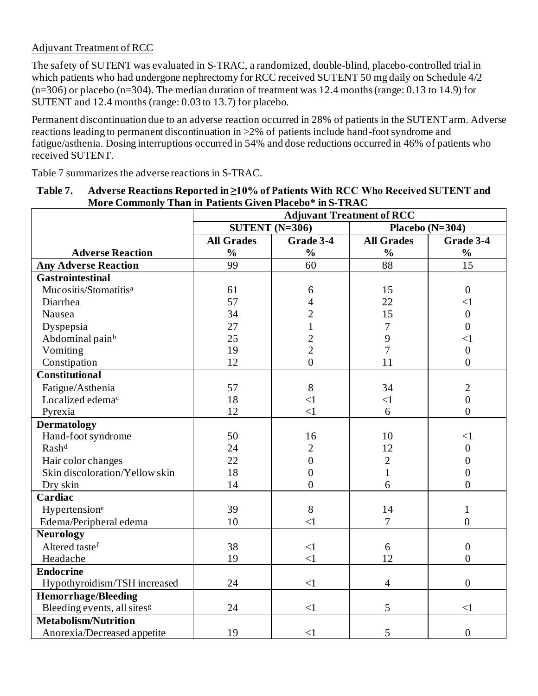## Adjuvant Treatment of RCC

The safety of SUTENT was evaluated in S-TRAC, a randomized, double-blind, placebo-controlled trial in which patients who had undergone nephrectomy for RCC received SUTENT 50 mg daily on Schedule 4/2  $(n=306)$  or placebo (n=304). The median duration of treatment was 12.4 months (range: 0.13 to 14.9) for SUTENT and 12.4 months (range: 0.03 to 13.7) for placebo.

Permanent discontinuation due to an adverse reaction occurred in 28% of patients in the SUTENT arm. Adverse reactions leading to permanent discontinuation in >2% of patients include hand-foot syndrome and fatigue/asthenia. Dosing interruptions occurred in 54% and dose reductions occurred in 46% of patients who received SUTENT.

Table 7 summarizes the adverse reactions in S-TRAC.

| моге сошшошу                            | Than in Tanches Olyen Flacebo The Times<br><b>Adjuvant Treatment of RCC</b> |                  |                   |                  |  |
|-----------------------------------------|-----------------------------------------------------------------------------|------------------|-------------------|------------------|--|
|                                         |                                                                             | SUTENT $(N=306)$ | Placebo $(N=304)$ |                  |  |
|                                         | <b>All Grades</b>                                                           | Grade 3-4        | <b>All Grades</b> | Grade 3-4        |  |
| <b>Adverse Reaction</b>                 | $\frac{0}{0}$                                                               | $\frac{0}{0}$    | $\frac{0}{0}$     | $\frac{0}{0}$    |  |
| <b>Any Adverse Reaction</b>             | 99                                                                          | 60               | 88                | 15               |  |
| <b>Gastrointestinal</b>                 |                                                                             |                  |                   |                  |  |
| Mucositis/Stomatitis <sup>a</sup>       | 61                                                                          | 6                | 15                | $\boldsymbol{0}$ |  |
| Diarrhea                                | 57                                                                          | 4                | 22                | $\leq$ 1         |  |
| Nausea                                  | 34                                                                          | $\overline{c}$   | 15                | $\overline{0}$   |  |
| Dyspepsia                               | 27                                                                          | $\mathbf{1}$     | 7                 | $\overline{0}$   |  |
| Abdominal pain <sup>b</sup>             | 25                                                                          | $\overline{c}$   | 9                 | $\leq$ 1         |  |
| Vomiting                                | 19                                                                          | $\overline{2}$   | $\overline{7}$    | $\boldsymbol{0}$ |  |
| Constipation                            | 12                                                                          | $\overline{0}$   | 11                | $\overline{0}$   |  |
| <b>Constitutional</b>                   |                                                                             |                  |                   |                  |  |
| Fatigue/Asthenia                        | 57                                                                          | $8\,$            | 34                | $\overline{2}$   |  |
| Localized edema <sup>c</sup>            | 18                                                                          | $\leq$ 1         | $\leq$ 1          | $\boldsymbol{0}$ |  |
| Pyrexia                                 | 12                                                                          | $\leq$ 1         | 6                 | $\overline{0}$   |  |
| <b>Dermatology</b>                      |                                                                             |                  |                   |                  |  |
| Hand-foot syndrome                      | 50                                                                          | 16               | 10                | $\leq$ 1         |  |
| Rashd                                   | 24                                                                          | $\overline{2}$   | 12                | $\overline{0}$   |  |
| Hair color changes                      | 22                                                                          | $\boldsymbol{0}$ | $\overline{2}$    | 0                |  |
| Skin discoloration/Yellow skin          | 18                                                                          | $\overline{0}$   | $\mathbf{1}$      | $\overline{0}$   |  |
| Dry skin                                | 14                                                                          | $\overline{0}$   | 6                 | $\overline{0}$   |  |
| Cardiac                                 |                                                                             |                  |                   |                  |  |
| Hypertensione                           | 39                                                                          | 8                | 14                | $\mathbf{1}$     |  |
| Edema/Peripheral edema                  | 10                                                                          | $\leq$ 1         | $\overline{7}$    | $\overline{0}$   |  |
| <b>Neurology</b>                        |                                                                             |                  |                   |                  |  |
| Altered tastef                          | 38                                                                          | $\leq$ 1         | 6                 | $\overline{0}$   |  |
| Headache                                | 19                                                                          | $\leq$ 1         | 12                | $\theta$         |  |
| <b>Endocrine</b>                        |                                                                             |                  |                   |                  |  |
| Hypothyroidism/TSH increased            | 24                                                                          | $\leq$ 1         | $\overline{4}$    | $\overline{0}$   |  |
| <b>Hemorrhage/Bleeding</b>              |                                                                             |                  |                   |                  |  |
| Bleeding events, all sites <sup>g</sup> | 24                                                                          | $\leq$ 1         | 5                 | $\leq$ 1         |  |
| <b>Metabolism/Nutrition</b>             |                                                                             |                  |                   |                  |  |
| Anorexia/Decreased appetite             | 19                                                                          | $\leq$ 1         | 5                 | $\overline{0}$   |  |

**Table 7. Adverse Reactions Reported in ≥10% of Patients With RCC Who Received SUTENT and More Commonly Than in Patients Given Placebo\* in S-TRAC**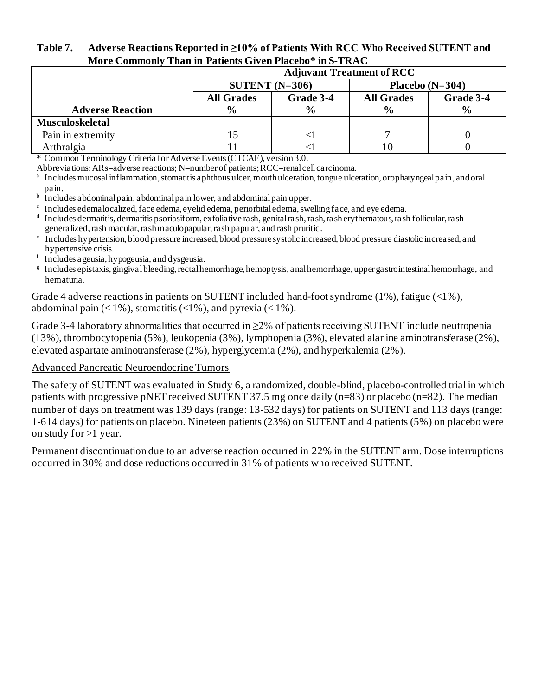| MOTE COMMONIV THAN IN PAUENTS GIVEN PIACEDO" IN S-TRAC |                                       |                                             |               |               |  |  |  |
|--------------------------------------------------------|---------------------------------------|---------------------------------------------|---------------|---------------|--|--|--|
|                                                        | <b>Adjuvant Treatment of RCC</b>      |                                             |               |               |  |  |  |
|                                                        | SUTENT $(N=306)$<br>Placebo $(N=304)$ |                                             |               |               |  |  |  |
|                                                        | <b>All Grades</b>                     | Grade 3-4<br>Grade 3-4<br><b>All Grades</b> |               |               |  |  |  |
| <b>Adverse Reaction</b>                                | $\frac{6}{9}$                         | $\frac{0}{0}$                               | $\frac{6}{9}$ | $\frac{6}{9}$ |  |  |  |
| <b>Musculoskeletal</b>                                 |                                       |                                             |               |               |  |  |  |
| Pain in extremity                                      |                                       |                                             |               |               |  |  |  |
| Arthralgia                                             |                                       |                                             |               |               |  |  |  |

#### **Table 7. Adverse Reactions Reported in ≥10% of Patients With RCC Who Received SUTENT and More Commonly Than in Patients Given Placebo\* in S-TRAC**

\* Common Terminology Criteria for Adverse Events (CTCAE), version 3.0.

Abbreviations: ARs=adverse reactions; N=number of patients; RCC=renal cell carcinoma.

a Includes mucosal inflammation, stomatitis aphthous ulcer, mouth ulceration, tongue ulceration, oropharyngeal pain, and oral pain.

- <sup>b</sup> Includes abdominal pain, abdominal pain lower, and abdominal pain upper.
- <sup>c</sup> Includes edema localized, face edema, eyelid edema, periorbital edema, swelling face, and eye edema.
- d Includes dermatitis, dermatitis psoriasiform, exfoliative rash, genital rash, rash, rash erythematous, rash follicular, rash generalized, rash macular, rash maculopapular, rash papular, and rash pruritic.
- <sup>e</sup> Includes hypertension, blood pressure increased, blood pressure systolic increased, blood pressure diastolic increased, and hypertensive crisis.
- f Includes ageusia, hypogeusia, and dysgeusia.
- g Includes epistaxis, gingival bleeding, rectal hemorrhage, hemoptysis, anal hemorrhage, upper gastrointestinal hemorrhage, and hematuria.

Grade 4 adverse reactions in patients on SUTENT included hand-foot syndrome (1%), fatigue (<1%), abdominal pain  $(< 1\%)$ , stomatitis  $(< 1\%)$ , and pyrexia  $(< 1\%)$ .

Grade 3-4 laboratory abnormalities that occurred in  $\geq$ 2% of patients receiving SUTENT include neutropenia (13%), thrombocytopenia (5%), leukopenia (3%), lymphopenia (3%), elevated alanine aminotransferase (2%), elevated aspartate aminotransferase (2%), hyperglycemia (2%), and hyperkalemia (2%).

#### Advanced Pancreatic Neuroendocrine Tumors

The safety of SUTENT was evaluated in Study 6, a randomized, double-blind, placebo-controlled trial in which patients with progressive pNET received SUTENT 37.5 mg once daily (n=83) or placebo (n=82). The median number of days on treatment was 139 days (range: 13-532 days) for patients on SUTENT and 113 days (range: 1-614 days) for patients on placebo. Nineteen patients (23%) on SUTENT and 4 patients (5%) on placebo were on study for >1 year.

Permanent discontinuation due to an adverse reaction occurred in 22% in the SUTENT arm. Dose interruptions occurred in 30% and dose reductions occurred in 31% of patients who received SUTENT.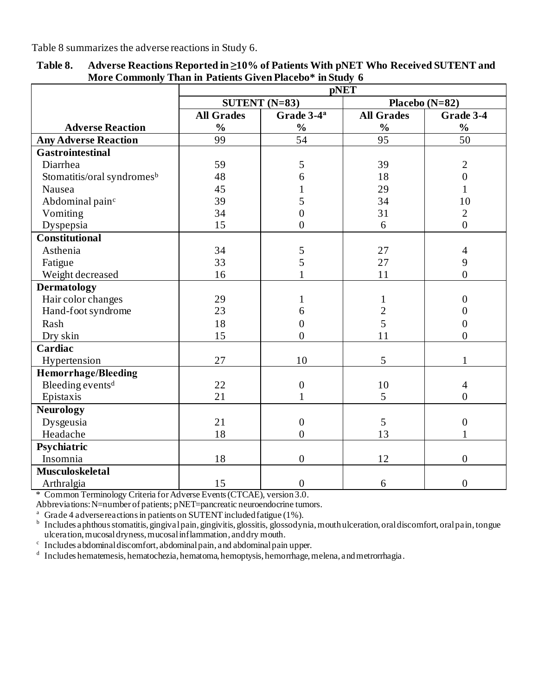Table 8 summarizes the adverse reactions in Study 6.

|                                        | <b>pNET</b>       |                        |                   |                  |  |  |
|----------------------------------------|-------------------|------------------------|-------------------|------------------|--|--|
|                                        |                   | SUTENT $(N=83)$        |                   | Placebo $(N=82)$ |  |  |
|                                        | <b>All Grades</b> | Grade 3-4 <sup>a</sup> | <b>All Grades</b> | Grade 3-4        |  |  |
| <b>Adverse Reaction</b>                | $\frac{0}{0}$     | $\frac{0}{0}$          | $\frac{0}{0}$     | $\frac{0}{0}$    |  |  |
| <b>Any Adverse Reaction</b>            | 99                | 54                     | 95                | 50               |  |  |
| <b>Gastrointestinal</b>                |                   |                        |                   |                  |  |  |
| Diarrhea                               | 59                | 5                      | 39                | $\overline{2}$   |  |  |
| Stomatitis/oral syndromes <sup>b</sup> | 48                | 6                      | 18                | $\overline{0}$   |  |  |
| Nausea                                 | 45                |                        | 29                | $\mathbf{1}$     |  |  |
| Abdominal pain <sup>c</sup>            | 39                | 5                      | 34                | 10               |  |  |
| Vomiting                               | 34                | $\overline{0}$         | 31                | $\overline{2}$   |  |  |
| Dyspepsia                              | 15                | $\overline{0}$         | 6                 | $\overline{0}$   |  |  |
| <b>Constitutional</b>                  |                   |                        |                   |                  |  |  |
| Asthenia                               | 34                | 5                      | 27                | 4                |  |  |
| Fatigue                                | 33                | 5                      | 27                | 9                |  |  |
| Weight decreased                       | 16                |                        | 11                | $\overline{0}$   |  |  |
| <b>Dermatology</b>                     |                   |                        |                   |                  |  |  |
| Hair color changes                     | 29                | 1                      | $\mathbf{1}$      | 0                |  |  |
| Hand-foot syndrome                     | 23                | 6                      | $\overline{c}$    | 0                |  |  |
| Rash                                   | 18                | $\boldsymbol{0}$       | 5                 | 0                |  |  |
| Dry skin                               | 15                | $\overline{0}$         | 11                | $\overline{0}$   |  |  |
| Cardiac                                |                   |                        |                   |                  |  |  |
| Hypertension                           | 27                | 10                     | 5                 | 1                |  |  |
| <b>Hemorrhage/Bleeding</b>             |                   |                        |                   |                  |  |  |
| Bleeding events <sup>d</sup>           | 22                | $\boldsymbol{0}$       | 10                | 4                |  |  |
| Epistaxis                              | 21                | $\mathbf{1}$           | 5                 | $\overline{0}$   |  |  |
| <b>Neurology</b>                       |                   |                        |                   |                  |  |  |
| Dysgeusia                              | 21                | $\boldsymbol{0}$       | 5                 | $\boldsymbol{0}$ |  |  |
| Headache                               | 18                | $\overline{0}$         | 13                |                  |  |  |
| Psychiatric                            |                   |                        |                   |                  |  |  |
| Insomnia                               | 18                | $\overline{0}$         | 12                | $\overline{0}$   |  |  |
| <b>Musculoskeletal</b>                 |                   |                        |                   |                  |  |  |
| Arthralgia                             | 15                | $\boldsymbol{0}$       | 6                 | $\overline{0}$   |  |  |

**Table 8. Adverse Reactions Reported in ≥10% of Patients With pNET Who Received SUTENT and More Commonly Than in Patients Given Placebo\* in Study 6**

\* Common Terminology Criteria for Adverse Events (CTCAE), version 3.0.

Abbreviations: N=number of patients; pNET=pancreatic neuroendocrine tumors.

<sup>a</sup> Grade 4 adverse reactions in patients on SUTENT included fatigue (1%).

<sup>b</sup> Includes aphthous stomatitis, gingival pain, gingivitis, glossitis, glossodynia, mouth ulceration, oral discomfort, oral pain, tongue ulceration, mucosal dryness, mucosal inflammation, and dry mouth.

c Includes abdominal discomfort, abdominal pain, and abdominal pain upper.

<sup>d</sup> Includes hematemesis, hematochezia, hematoma, hemoptysis, hemorrhage, melena, and metrorrhagia.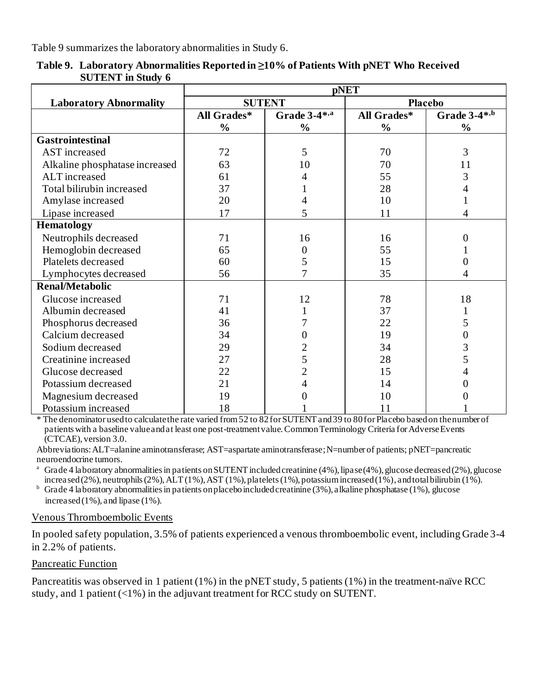Table 9 summarizes the laboratory abnormalities in Study 6.

|                                | <b>pNET</b>   |                  |               |                |  |
|--------------------------------|---------------|------------------|---------------|----------------|--|
| <b>Laboratory Abnormality</b>  | <b>SUTENT</b> |                  |               | <b>Placebo</b> |  |
|                                | All Grades*   | Grade 3-4*,a     | All Grades*   | Grade 3-4*,b   |  |
|                                | $\frac{0}{0}$ | $\frac{0}{0}$    | $\frac{0}{0}$ | $\frac{0}{0}$  |  |
| <b>Gastrointestinal</b>        |               |                  |               |                |  |
| AST increased                  | 72            | 5                | 70            | 3              |  |
| Alkaline phosphatase increased | 63            | 10               | 70            | 11             |  |
| ALT increased                  | 61            | 4                | 55            | 3              |  |
| Total bilirubin increased      | 37            |                  | 28            | 4              |  |
| Amylase increased              | 20            |                  | 10            |                |  |
| Lipase increased               | 17            | 5                | 11            | 4              |  |
| <b>Hematology</b>              |               |                  |               |                |  |
| Neutrophils decreased          | 71            | 16               | 16            | 0              |  |
| Hemoglobin decreased           | 65            | $\boldsymbol{0}$ | 55            |                |  |
| Platelets decreased            | 60            | 5                | 15            | 0              |  |
| Lymphocytes decreased          | 56            | 7                | 35            | 4              |  |
| <b>Renal/Metabolic</b>         |               |                  |               |                |  |
| Glucose increased              | 71            | 12               | 78            | 18             |  |
| Albumin decreased              | 41            |                  | 37            | $\mathbf{1}$   |  |
| Phosphorus decreased           | 36            |                  | 22            | 5              |  |
| Calcium decreased              | 34            | 0                | 19            | 0              |  |
| Sodium decreased               | 29            | $\overline{c}$   | 34            | 3              |  |
| Creatinine increased           | 27            | 5                | 28            | 5              |  |
| Glucose decreased              | 22            | $\overline{2}$   | 15            | 4              |  |
| Potassium decreased            | 21            | 4                | 14            |                |  |
| Magnesium decreased            | 19            |                  | 10            |                |  |
| Potassium increased            | 18            |                  | 11            |                |  |

**Table 9. Laboratory Abnormalities Reported in ≥10% of Patients With pNET Who Received SUTENT in Study 6**

\* The denominator used to calculate the rate varied from 52 to 82 for SUTENT and 39 to 80 for Placebo based on the number of patients with a baseline value and at least one post-treatment value. Common Terminology Criteria for Adverse Events (CTCAE), version 3.0.

Abbreviations: ALT=alanine aminotransferase; AST=aspartate aminotransferase; N=number of patients; pNET=pancreatic neuroendocrine tumors.

<sup>a</sup> Grade 4 laboratory abnormalities in patients on SUTENT included creatinine (4%), lipase (4%), glucose decreased (2%), glucose increased (2%), neutrophils (2%),  $\overline{ALT}$  (1%),  $\overline{AST}$  (1%), platelets (1%), potassium increased (1%), and total bilirubin (1%).

 $<sup>b</sup>$  Grade 4 laboratory abnormalities in patients on placebo included creatinine (3%), alkaline phosphatase (1%), glucose</sup> increased(1%), and lipase (1%).

#### Venous Thromboembolic Events

In pooled safety population, 3.5% of patients experienced a venous thromboembolic event, including Grade 3-4 in 2.2% of patients.

#### Pancreatic Function

Pancreatitis was observed in 1 patient (1%) in the pNET study, 5 patients (1%) in the treatment-naïve RCC study, and 1 patient  $\left(\langle 1\% \right)$  in the adjuvant treatment for RCC study on SUTENT.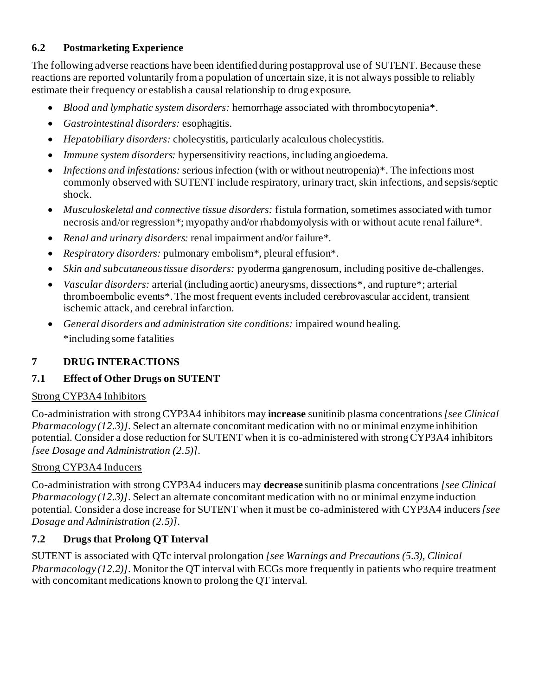## **6.2 Postmarketing Experience**

The following adverse reactions have been identified during postapproval use of SUTENT. Because these reactions are reported voluntarily from a population of uncertain size, it is not always possible to reliably estimate their frequency or establish a causal relationship to drug exposure.

- *Blood and lymphatic system disorders:* hemorrhage associated with thrombocytopenia\*.
- *Gastrointestinal disorders:* esophagitis.
- *Hepatobiliary disorders:* cholecystitis, particularly acalculous cholecystitis.
- *Immune system disorders:* hypersensitivity reactions, including angioedema.
- *Infections and infestations:* serious infection (with or without neutropenia)<sup>\*</sup>. The infections most commonly observed with SUTENT include respiratory, urinary tract, skin infections, and sepsis/septic shock.
- *Musculoskeletal and connective tissue disorders:* fistula formation, sometimes associated with tumor necrosis and/or regression\*; myopathy and/or rhabdomyolysis with or without acute renal failure\*.
- *Renal and urinary disorders:* renal impairment and/or failure\*.
- *Respiratory disorders:* pulmonary embolism\*, pleural effusion\*.
- *Skin and subcutaneous tissue disorders:* pyoderma gangrenosum, including positive de-challenges.
- *Vascular disorders:* arterial (including aortic) aneurysms, dissections\*, and rupture\*; arterial thromboembolic events\*.The most frequent events included cerebrovascular accident, transient ischemic attack, and cerebral infarction.
- *General disorders and administration site conditions:* impaired wound healing. \*including some fatalities

## **7 DRUG INTERACTIONS**

# **7.1 Effect of Other Drugs on SUTENT**

## Strong CYP3A4 Inhibitors

Co-administration with strong CYP3A4 inhibitors may **increase** sunitinib plasma concentrations*[see Clinical Pharmacology (12.3)]*. Select an alternate concomitant medication with no or minimal enzyme inhibition potential. Consider a dose reduction for SUTENT when it is co-administered with strong CYP3A4 inhibitors *[see Dosage and Administration (2.5)]*.

## Strong CYP3A4 Inducers

Co-administration with strong CYP3A4 inducers may **decrease** sunitinib plasma concentrations *[see Clinical Pharmacology (12.3)]*. Select an alternate concomitant medication with no or minimal enzyme induction potential. Consider a dose increase for SUTENT when it must be co-administered with CYP3A4 inducers *[see Dosage and Administration (2.5)]*.

# **7.2 Drugs that Prolong QT Interval**

SUTENT is associated with QTc interval prolongation *[see Warnings and Precautions (5.3), Clinical Pharmacology (12.2)]*. Monitor the QT interval with ECGs more frequently in patients who require treatment with concomitant medications known to prolong the QT interval.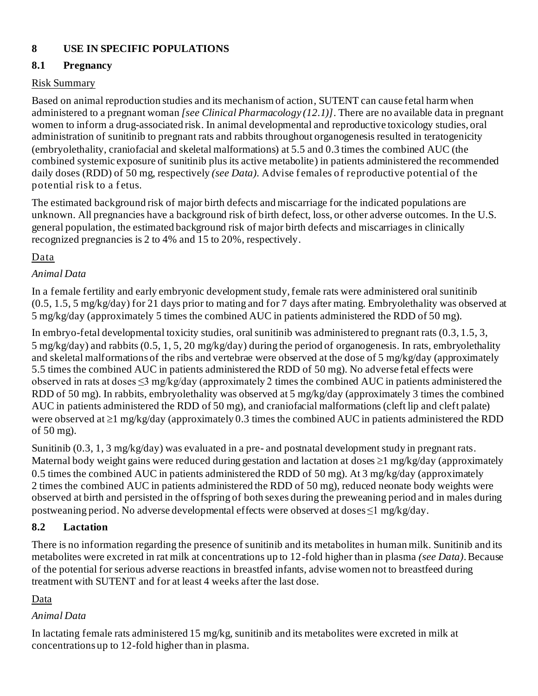# **8 USE IN SPECIFIC POPULATIONS**

## **8.1 Pregnancy**

## Risk Summary

Based on animal reproduction studies and its mechanism of action, SUTENT can cause fetal harm when administered to a pregnant woman *[see Clinical Pharmacology (12.1)]*. There are no available data in pregnant women to inform a drug-associated risk. In animal developmental and reproductive toxicology studies, oral administration of sunitinib to pregnant rats and rabbits throughout organogenesis resulted in teratogenicity (embryolethality, craniofacial and skeletal malformations) at 5.5 and 0.3 times the combined AUC (the combined systemic exposure of sunitinib plus its active metabolite) in patients administered the recommended daily doses (RDD) of 50 mg, respectively *(see Data)*. Advise females of reproductive potential of the potential risk to a fetus.

The estimated background risk of major birth defects and miscarriage for the indicated populations are unknown. All pregnancies have a background risk of birth defect, loss, or other adverse outcomes. In the U.S. general population, the estimated background risk of major birth defects and miscarriages in clinically recognized pregnancies is 2 to 4% and 15 to 20%, respectively.

## Data

## *Animal Data*

In a female fertility and early embryonic development study, female rats were administered oral sunitinib (0.5, 1.5, 5 mg/kg/day) for 21 days prior to mating and for 7 days after mating. Embryolethality was observed at 5 mg/kg/day (approximately 5 times the combined AUC in patients administered the RDD of 50 mg).

In embryo-fetal developmental toxicity studies, oral sunitinib was administered to pregnant rats (0.3, 1.5, 3, 5 mg/kg/day) and rabbits (0.5, 1, 5, 20 mg/kg/day) during the period of organogenesis. In rats, embryolethality and skeletal malformations of the ribs and vertebrae were observed at the dose of 5 mg/kg/day (approximately 5.5 times the combined AUC in patients administered the RDD of 50 mg). No adverse fetal effects were observed in rats at doses ≤3 mg/kg/day (approximately 2 times the combined AUC in patients administered the RDD of 50 mg). In rabbits, embryolethality was observed at 5 mg/kg/day (approximately 3 times the combined AUC in patients administered the RDD of 50 mg), and craniofacial malformations (cleft lip and cleft palate) were observed at  $\geq 1$  mg/kg/day (approximately 0.3 times the combined AUC in patients administered the RDD of 50 mg).

Sunitinib (0.3, 1, 3 mg/kg/day) was evaluated in a pre- and postnatal development study in pregnant rats. Maternal body weight gains were reduced during gestation and lactation at doses  $\geq 1$  mg/kg/day (approximately 0.5 times the combined AUC in patients administered the RDD of 50 mg). At 3 mg/kg/day (approximately 2 times the combined AUC in patients administered the RDD of 50 mg), reduced neonate body weights were observed at birth and persisted in the offspring of both sexes during the preweaning period and in males during postweaning period. No adverse developmental effects were observed at doses ≤1 mg/kg/day.

## **8.2 Lactation**

There is no information regarding the presence of sunitinib and its metabolites in human milk. Sunitinib and its metabolites were excreted in rat milk at concentrations up to 12-fold higher than in plasma *(see Data)*.Because of the potential for serious adverse reactions in breastfed infants, advise women not to breastfeed during treatment with SUTENT and for at least 4 weeks after the last dose.

## Data

## *Animal Data*

In lactating female rats administered 15 mg/kg, sunitinib and its metabolites were excreted in milk at concentrations up to 12-fold higher than in plasma.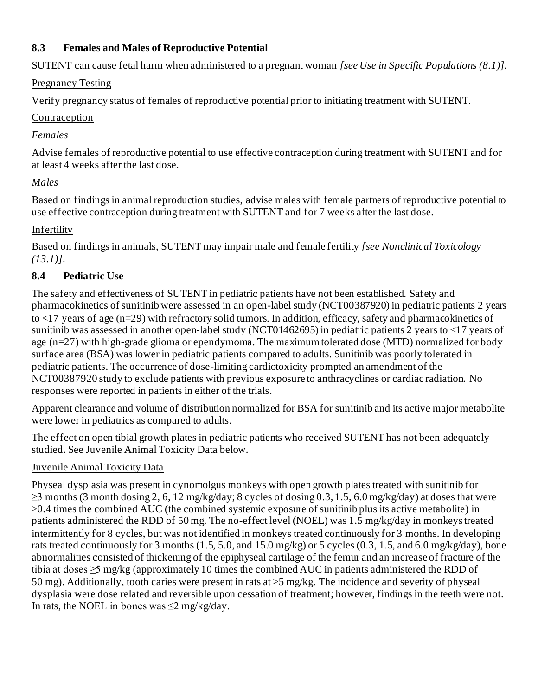## **8.3 Females and Males of Reproductive Potential**

SUTENT can cause fetal harm when administered to a pregnant woman *[see Use in Specific Populations (8.1)].*

## Pregnancy Testing

Verify pregnancy status of females of reproductive potential prior to initiating treatment with SUTENT.

## Contraception

## *Females*

Advise females of reproductive potential to use effective contraception during treatment with SUTENT and for at least 4 weeks after the last dose.

# *Males*

Based on findings in animal reproduction studies, advise males with female partners of reproductive potential to use effective contraception during treatment with SUTENT and for 7 weeks after the last dose.

## Infertility

Based on findings in animals, SUTENT may impair male and female fertility *[see Nonclinical Toxicology (13.1)]*.

## **8.4 Pediatric Use**

The safety and effectiveness of SUTENT in pediatric patients have not been established. Safety and pharmacokinetics of sunitinib were assessed in an open-label study (NCT00387920) in pediatric patients 2 years to <17 years of age (n=29) with refractory solid tumors. In addition, efficacy, safety and pharmacokinetics of sunitinib was assessed in another open-label study (NCT01462695) in pediatric patients 2 years to <17 years of age (n=27) with high-grade glioma or ependymoma. The maximum tolerated dose (MTD) normalized for body surface area (BSA) was lower in pediatric patients compared to adults. Sunitinib was poorly tolerated in pediatric patients. The occurrence of dose-limiting cardiotoxicity prompted an amendment of the NCT00387920 study to exclude patients with previous exposure to anthracyclines or cardiac radiation. No responses were reported in patients in either of the trials.

Apparent clearance and volume of distribution normalized for BSA for sunitinib and its active major metabolite were lower in pediatrics as compared to adults.

The effect on open tibial growth plates in pediatric patients who received SUTENT has not been adequately studied. See Juvenile Animal Toxicity Data below.

# Juvenile Animal Toxicity Data

Physeal dysplasia was present in cynomolgus monkeys with open growth plates treated with sunitinib for  $\geq$ 3 months (3 month dosing 2, 6, 12 mg/kg/day; 8 cycles of dosing 0.3, 1.5, 6.0 mg/kg/day) at doses that were >0.4 times the combined AUC (the combined systemic exposure of sunitinib plus its active metabolite) in patients administered the RDD of 50 mg. The no-effect level (NOEL) was 1.5 mg/kg/day in monkeys treated intermittently for 8 cycles, but was not identified in monkeys treated continuously for 3 months. In developing rats treated continuously for 3 months (1.5, 5.0, and 15.0 mg/kg) or 5 cycles (0.3, 1.5, and 6.0 mg/kg/day), bone abnormalities consisted of thickening of the epiphyseal cartilage of the femur and an increase of fracture of the tibia at doses ≥5 mg/kg (approximately 10 times the combined AUC in patients administered the RDD of 50 mg). Additionally, tooth caries were present in rats at >5 mg/kg. The incidence and severity of physeal dysplasia were dose related and reversible upon cessation of treatment; however, findings in the teeth were not. In rats, the NOEL in bones was  $\leq$ 2 mg/kg/day.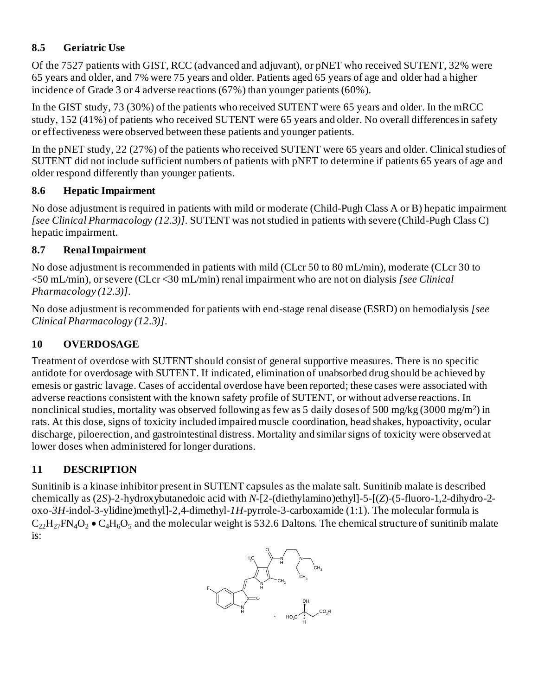# **8.5 Geriatric Use**

Of the 7527 patients with GIST, RCC (advanced and adjuvant), or pNET who received SUTENT, 32% were 65 years and older, and 7% were 75 years and older. Patients aged 65 years of age and older had a higher incidence of Grade 3 or 4 adverse reactions (67%) than younger patients (60%).

In the GIST study, 73 (30%) of the patients who received SUTENT were 65 years and older. In the mRCC study, 152 (41%) of patients who received SUTENT were 65 years and older. No overall differences in safety or effectiveness were observed between these patients and younger patients.

In the pNET study, 22 (27%) of the patients who received SUTENT were 65 years and older. Clinical studies of SUTENT did not include sufficient numbers of patients with pNET to determine if patients 65 years of age and older respond differently than younger patients.

# **8.6 Hepatic Impairment**

No dose adjustment is required in patients with mild or moderate (Child-Pugh Class A or B) hepatic impairment *[see Clinical Pharmacology (12.3)]*. SUTENT was not studied in patients with severe (Child-Pugh Class C) hepatic impairment.

# **8.7 Renal Impairment**

No dose adjustment is recommended in patients with mild (CLcr 50 to 80 mL/min), moderate (CLcr 30 to <50 mL/min), or severe (CLcr <30 mL/min) renal impairment who are not on dialysis *[see Clinical Pharmacology (12.3)]*.

No dose adjustment is recommended for patients with end-stage renal disease (ESRD) on hemodialysis *[see Clinical Pharmacology (12.3)]*.

# **10 OVERDOSAGE**

Treatment of overdose with SUTENT should consist of general supportive measures. There is no specific antidote for overdosage with SUTENT. If indicated, elimination of unabsorbed drug should be achieved by emesis or gastric lavage. Cases of accidental overdose have been reported; these cases were associated with adverse reactions consistent with the known safety profile of SUTENT, or without adverse reactions. In nonclinical studies, mortality was observed following as few as 5 daily doses of 500 mg/kg (3000 mg/m<sup>2</sup>) in rats. At this dose, signs of toxicity included impaired muscle coordination, head shakes, hypoactivity, ocular discharge, piloerection, and gastrointestinal distress. Mortality and similar signs of toxicity were observed at lower doses when administered for longer durations.

# **11 DESCRIPTION**

Sunitinib is a kinase inhibitor present in SUTENT capsules as the malate salt. Sunitinib malate is described chemically as (2*S*)-2-hydroxybutanedoic acid with *N*-[2-(diethylamino)ethyl]-5-[(*Z*)-(5-fluoro-1,2-dihydro-2 oxo-*3H*-indol-3-ylidine)methyl]-2,4-dimethyl-*1H*-pyrrole-3-carboxamide (1:1). The molecular formula is  $C_{22}H_{27}FN_4O_2 \bullet C_4H_6O_5$  and the molecular weight is 532.6 Daltons. The chemical structure of sunitinib malate is:

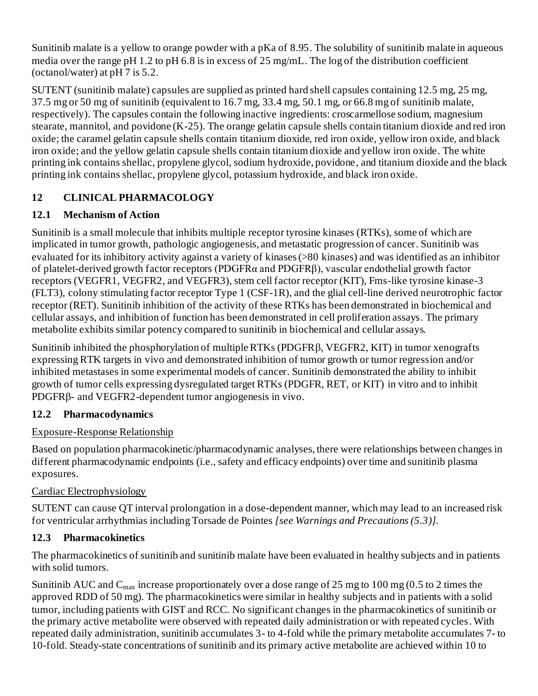Sunitinib malate is a yellow to orange powder with a pKa of 8.95. The solubility of sunitinib malate in aqueous media over the range pH 1.2 to pH 6.8 is in excess of 25 mg/mL. The log of the distribution coefficient (octanol/water) at pH 7 is 5.2.

SUTENT (sunitinib malate) capsules are supplied as printed hard shell capsules containing 12.5 mg, 25 mg, 37.5 mg or 50 mg of sunitinib (equivalent to 16.7 mg, 33.4 mg, 50.1 mg, or 66.8 mg of sunitinib malate, respectively). The capsules contain the following inactive ingredients: croscarmellose sodium, magnesium stearate, mannitol, and povidone (K-25). The orange gelatin capsule shells contain titanium dioxide and red iron oxide; the caramel gelatin capsule shells contain titanium dioxide, red iron oxide, yellow iron oxide, and black iron oxide; and the yellow gelatin capsule shells contain titanium dioxide and yellow iron oxide. The white printing ink contains shellac, propylene glycol, sodium hydroxide, povidone, and titanium dioxide and the black printing ink contains shellac, propylene glycol, potassium hydroxide, and black iron oxide.

# **12 CLINICAL PHARMACOLOGY**

# **12.1 Mechanism of Action**

Sunitinib is a small molecule that inhibits multiple receptor tyrosine kinases (RTKs), some of which are implicated in tumor growth, pathologic angiogenesis, and metastatic progression of cancer. Sunitinib was evaluated for its inhibitory activity against a variety of kinases (>80 kinases) and was identified as an inhibitor of platelet-derived growth factor receptors (PDGFRα and PDGFRβ), vascular endothelial growth factor receptors (VEGFR1, VEGFR2, and VEGFR3), stem cell factor receptor (KIT), Fms-like tyrosine kinase-3 (FLT3), colony stimulating factor receptor Type 1 (CSF-1R), and the glial cell-line derived neurotrophic factor receptor (RET). Sunitinib inhibition of the activity of these RTKs has been demonstrated in biochemical and cellular assays, and inhibition of function has been demonstrated in cell proliferation assays. The primary metabolite exhibits similar potency compared to sunitinib in biochemical and cellular assays.

Sunitinib inhibited the phosphorylation of multiple RTKs (PDGFR $\beta$ , VEGFR2, KIT) in tumor xenografts expressing RTK targets in vivo and demonstrated inhibition of tumor growth or tumor regression and/or inhibited metastases in some experimental models of cancer. Sunitinib demonstrated the ability to inhibit growth of tumor cells expressing dysregulated target RTKs (PDGFR, RET, or KIT) in vitro and to inhibit PDGFR<sub>B</sub>- and VEGFR<sub>2</sub>-dependent tumor angiogenesis in vivo.

# **12.2 Pharmacodynamics**

# Exposure-Response Relationship

Based on population pharmacokinetic/pharmacodynamic analyses, there were relationships between changes in different pharmacodynamic endpoints (i.e., safety and efficacy endpoints) over time and sunitinib plasma exposures.

# Cardiac Electrophysiology

SUTENT can cause QT interval prolongation in a dose-dependent manner, which may lead to an increased risk for ventricular arrhythmias including Torsade de Pointes *[see Warnings and Precautions (5.3)].*

# **12.3 Pharmacokinetics**

The pharmacokinetics of sunitinib and sunitinib malate have been evaluated in healthy subjects and in patients with solid tumors.

Sunitinib AUC and  $C_{\text{max}}$  increase proportionately over a dose range of 25 mg to 100 mg (0.5 to 2 times the approved RDD of 50 mg). The pharmacokinetics were similar in healthy subjects and in patients with a solid tumor, including patients with GIST and RCC. No significant changes in the pharmacokinetics of sunitinib or the primary active metabolite were observed with repeated daily administration or with repeated cycles.With repeated daily administration, sunitinib accumulates 3- to 4-fold while the primary metabolite accumulates 7- to 10-fold. Steady-state concentrations of sunitinib and its primary active metabolite are achieved within 10 to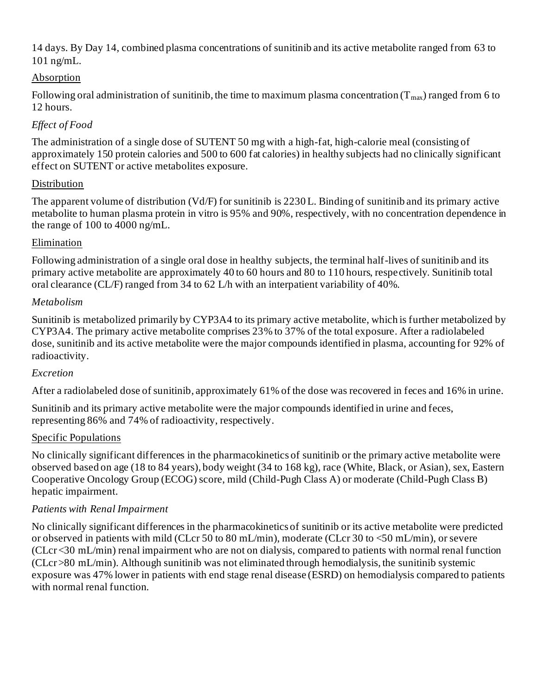14 days. By Day 14, combined plasma concentrations of sunitinib and its active metabolite ranged from 63 to 101 ng/mL.

## Absorption

Following oral administration of sunitinib, the time to maximum plasma concentration  $(T_{max})$  ranged from 6 to 12 hours.

## *Effect of Food*

The administration of a single dose of SUTENT 50 mg with a high-fat, high-calorie meal (consisting of approximately 150 protein calories and 500 to 600 fat calories) in healthy subjects had no clinically significant effect on SUTENT or active metabolites exposure.

## Distribution

The apparent volume of distribution (Vd/F) for sunitinib is 2230 L. Binding of sunitinib and its primary active metabolite to human plasma protein in vitro is 95% and 90%, respectively, with no concentration dependence in the range of 100 to 4000 ng/mL.

## Elimination

Following administration of a single oral dose in healthy subjects, the terminal half-lives of sunitinib and its primary active metabolite are approximately 40 to 60 hours and 80 to 110 hours, respectively. Sunitinib total oral clearance (CL/F) ranged from 34 to 62 L/h with an interpatient variability of 40%.

## *Metabolism*

Sunitinib is metabolized primarily by CYP3A4 to its primary active metabolite, which is further metabolized by CYP3A4. The primary active metabolite comprises 23% to 37% of the total exposure. After a radiolabeled dose, sunitinib and its active metabolite were the major compounds identified in plasma, accounting for 92% of radioactivity.

## *Excretion*

After a radiolabeled dose of sunitinib, approximately 61% of the dose was recovered in feces and 16% in urine.

Sunitinib and its primary active metabolite were the major compounds identified in urine and feces, representing 86% and 74% of radioactivity, respectively.

## Specific Populations

No clinically significant differences in the pharmacokinetics of sunitinib or the primary active metabolite were observed based on age (18 to 84 years), body weight (34 to 168 kg), race (White, Black, or Asian), sex, Eastern Cooperative Oncology Group (ECOG) score, mild (Child-Pugh Class A) or moderate (Child-Pugh Class B) hepatic impairment.

## *Patients with Renal Impairment*

No clinically significant differences in the pharmacokinetics of sunitinib or its active metabolite were predicted or observed in patients with mild (CLcr 50 to 80 mL/min), moderate (CLcr 30 to <50 mL/min), or severe (CLcr<30 mL/min) renal impairment who are not on dialysis, compared to patients with normal renal function (CLcr>80 mL/min). Although sunitinib was not eliminated through hemodialysis, the sunitinib systemic exposure was 47% lower in patients with end stage renal disease (ESRD) on hemodialysis compared to patients with normal renal function.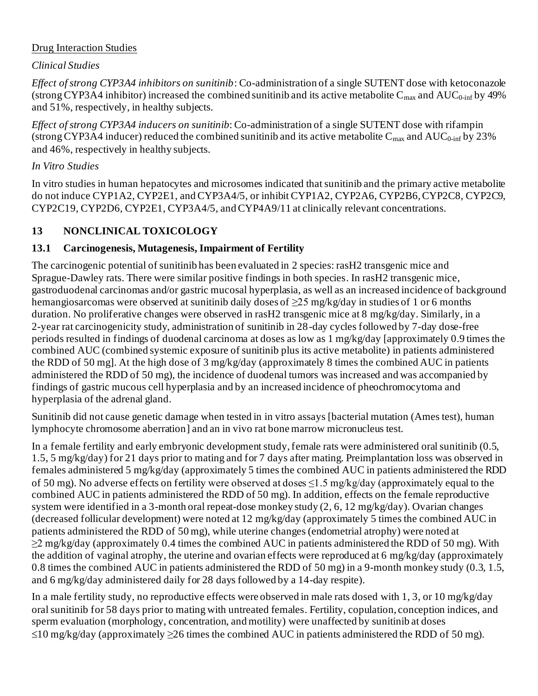## Drug Interaction Studies

## *Clinical Studies*

*Effect of strong CYP3A4 inhibitors on sunitinib*: Co-administration of a single SUTENT dose with ketoconazole (strong CYP3A4 inhibitor) increased the combined sunitinib and its active metabolite  $C_{\text{max}}$  and  $AUC_{0\text{-inf}}$  by 49% and 51%, respectively, in healthy subjects.

*Effect of strong CYP3A4 inducers on sunitinib*: Co-administration of a single SUTENT dose with rifampin (strong CYP3A4 inducer) reduced the combined sunitinib and its active metabolite  $C_{\text{max}}$  and  $AUC_{0\text{-inf}}$  by 23% and 46%, respectively in healthy subjects.

### *In Vitro Studies*

In vitro studies in human hepatocytes and microsomes indicated that sunitinib and the primary active metabolite do not induce CYP1A2, CYP2E1, and CYP3A4/5, or inhibit CYP1A2, CYP2A6, CYP2B6, CYP2C8, CYP2C9, CYP2C19, CYP2D6, CYP2E1, CYP3A4/5, and CYP4A9/11 at clinically relevant concentrations.

## **13 NONCLINICAL TOXICOLOGY**

## **13.1 Carcinogenesis, Mutagenesis, Impairment of Fertility**

The carcinogenic potential of sunitinib has been evaluated in 2 species: rasH2 transgenic mice and Sprague-Dawley rats. There were similar positive findings in both species. In rasH2 transgenic mice, gastroduodenal carcinomas and/or gastric mucosal hyperplasia, as well as an increased incidence of background hemangiosarcomas were observed at sunitinib daily doses of ≥25 mg/kg/day in studies of 1 or 6 months duration. No proliferative changes were observed in rasH2 transgenic mice at 8 mg/kg/day. Similarly, in a 2-year rat carcinogenicity study, administration of sunitinib in 28-day cycles followed by 7-day dose-free periods resulted in findings of duodenal carcinoma at doses as low as 1 mg/kg/day [approximately 0.9 times the combined AUC (combined systemic exposure of sunitinib plus its active metabolite) in patients administered the RDD of 50 mg]. At the high dose of 3 mg/kg/day (approximately 8 times the combined AUC in patients administered the RDD of 50 mg), the incidence of duodenal tumors was increased and was accompanied by findings of gastric mucous cell hyperplasia and by an increased incidence of pheochromocytoma and hyperplasia of the adrenal gland.

Sunitinib did not cause genetic damage when tested in in vitro assays [bacterial mutation (Ames test), human lymphocyte chromosome aberration] and an in vivo rat bone marrow micronucleus test.

In a female fertility and early embryonic development study, female rats were administered oral sunitinib (0.5, 1.5, 5 mg/kg/day) for 21 days prior to mating and for 7 days after mating. Preimplantation loss was observed in females administered 5 mg/kg/day (approximately 5 times the combined AUC in patients administered the RDD of 50 mg). No adverse effects on fertility were observed at doses  $\leq 1.5$  mg/kg/day (approximately equal to the combined AUC in patients administered the RDD of 50 mg). In addition, effects on the female reproductive system were identified in a 3-month oral repeat-dose monkey study (2, 6, 12 mg/kg/day). Ovarian changes (decreased follicular development) were noted at 12 mg/kg/day (approximately 5 times the combined AUC in patients administered the RDD of 50 mg), while uterine changes (endometrial atrophy) were noted at  $\geq$ 2 mg/kg/day (approximately 0.4 times the combined AUC in patients administered the RDD of 50 mg). With the addition of vaginal atrophy, the uterine and ovarian effects were reproduced at 6 mg/kg/day (approximately 0.8 times the combined AUC in patients administered the RDD of 50 mg) in a 9-month monkey study (0.3, 1.5, and 6 mg/kg/day administered daily for 28 days followed by a 14-day respite).

In a male fertility study, no reproductive effects were observed in male rats dosed with 1, 3, or 10 mg/kg/day oral sunitinib for 58 days prior to mating with untreated females. Fertility, copulation, conception indices, and sperm evaluation (morphology, concentration, and motility) were unaffected by sunitinib at doses  $\leq$ 10 mg/kg/day (approximately >26 times the combined AUC in patients administered the RDD of 50 mg).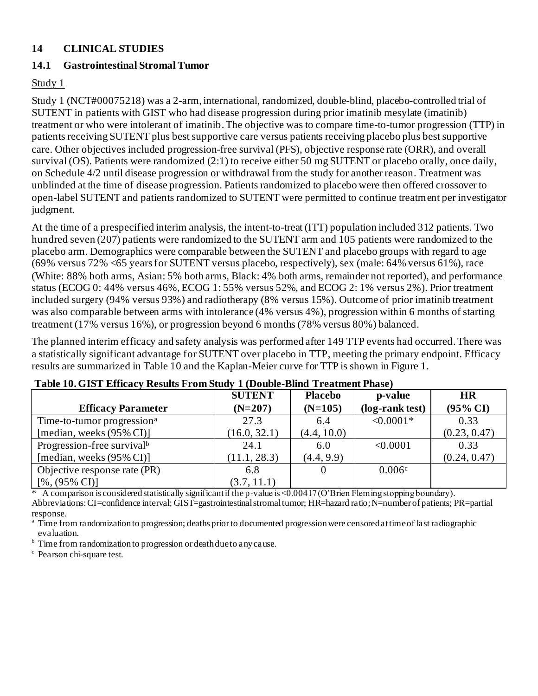### **14 CLINICAL STUDIES**

## **14.1 Gastrointestinal Stromal Tumor**

### Study 1

Study 1 (NCT#00075218) was a 2-arm, international, randomized, double-blind, placebo-controlled trial of SUTENT in patients with GIST who had disease progression during prior imatinib mesylate (imatinib) treatment or who were intolerant of imatinib.The objective was to compare time-to-tumor progression (TTP) in patients receiving SUTENT plus best supportive care versus patients receiving placebo plus best supportive care. Other objectives included progression-free survival (PFS), objective response rate (ORR), and overall survival (OS). Patients were randomized (2:1) to receive either 50 mg SUTENT or placebo orally, once daily, on Schedule 4/2 until disease progression or withdrawal from the study for another reason. Treatment was unblinded at the time of disease progression. Patients randomized to placebo were then offered crossover to open-label SUTENT and patients randomized to SUTENT were permitted to continue treatment per investigator judgment.

At the time of a prespecified interim analysis, the intent-to-treat (ITT) population included 312 patients. Two hundred seven (207) patients were randomized to the SUTENT arm and 105 patients were randomized to the placebo arm. Demographics were comparable between the SUTENT and placebo groups with regard to age (69% versus 72% <65 years for SUTENT versus placebo, respectively), sex (male: 64% versus 61%), race (White: 88% both arms, Asian: 5% both arms, Black: 4% both arms, remainder not reported), and performance status (ECOG 0: 44% versus 46%, ECOG 1: 55% versus 52%, and ECOG 2: 1% versus 2%). Prior treatment included surgery (94% versus 93%) and radiotherapy (8% versus 15%). Outcome of prior imatinib treatment was also comparable between arms with intolerance (4% versus 4%), progression within 6 months of starting treatment (17% versus 16%), or progression beyond 6 months (78% versus 80%) balanced.

The planned interim efficacy and safety analysis was performed after 149 TTP events had occurred.There was a statistically significant advantage for SUTENT over placebo in TTP, meeting the primary endpoint. Efficacy results are summarized in Table 10 and the Kaplan-Meier curve for TTP is shown in Figure 1.

| <b>SUTENT</b><br><b>Placebo</b><br>p-value |              |             |                 |                     |  |  |  |
|--------------------------------------------|--------------|-------------|-----------------|---------------------|--|--|--|
| <b>Efficacy Parameter</b>                  | $(N=207)$    | $(N=105)$   | (log-rank test) | $(95\% \text{ CI})$ |  |  |  |
| Time-to-tumor progression <sup>a</sup>     | 27.3         | 6.4         | $< 0.0001*$     | 0.33                |  |  |  |
| [median, weeks $(95\% \text{ CI})$ ]       | (16.0, 32.1) | (4.4, 10.0) |                 | (0.23, 0.47)        |  |  |  |
| Progression-free survival <sup>b</sup>     | 24.1         | 6.0         | < 0.0001        | 0.33                |  |  |  |
| [median, weeks $(95\% \text{ CI})$ ]       | (11.1, 28.3) | (4.4, 9.9)  |                 | (0.24, 0.47)        |  |  |  |
| Objective response rate (PR)               | 6.8          | $\theta$    | 0.006c          |                     |  |  |  |
| $[%,(95\% \text{ CI})]$                    | (3.7, 11.1)  |             |                 |                     |  |  |  |

#### **Table 10.GIST Efficacy Results From Study 1 (Double-Blind Treatment Phase)**

A comparison is considered statistically significant if the p-value is <0.00417 (O'Brien Fleming stopping boundary). Abbreviations: CI=confidence interval; GIST=gastrointestinal stromal tumor; HR=hazard ratio;N=number of patients; PR=partial response.

<sup>a</sup> Time from randomization to progression; deaths prior to documented progression were censored at time of last radiographic evaluation.

<sup>b</sup> Time from randomization to progression or death due to any cause.

<sup>c</sup> Pearson chi-square test.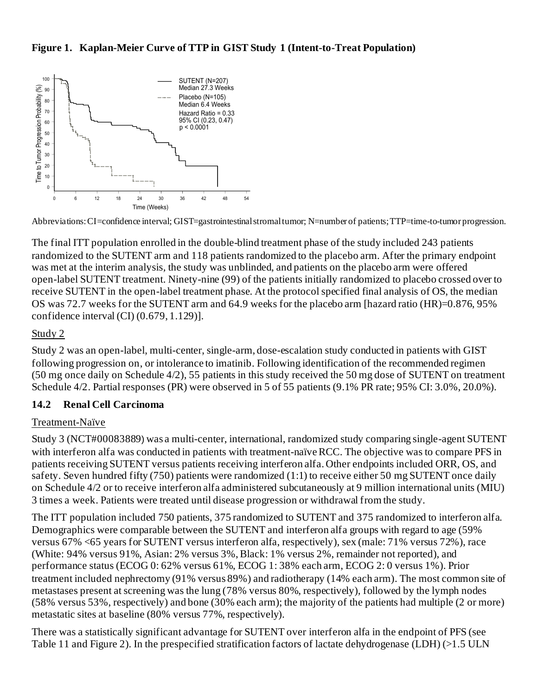### **Figure 1. Kaplan-Meier Curve of TTP in GIST Study 1 (Intent-to-Treat Population)**



Abbreviations: CI=confidence interval; GIST=gastrointestinal stromal tumor; N=number of patients; TTP=time-to-tumor progression.

The final ITT population enrolled in the double-blind treatment phase of the study included 243 patients randomized to the SUTENT arm and 118 patients randomized to the placebo arm. After the primary endpoint was met at the interim analysis*,* the study was unblinded, and patients on the placebo arm were offered open-label SUTENT treatment. Ninety-nine (99) of the patients initially randomized to placebo crossed over to receive SUTENT in the open-label treatment phase. At the protocol specified final analysis of OS, the median OS was 72.7 weeks for the SUTENT arm and 64.9 weeks for the placebo arm [hazard ratio (HR)=0.876, 95% confidence interval (CI) (0.679, 1.129)].

#### Study 2

Study 2 was an open-label, multi-center, single-arm, dose-escalation study conducted in patients with GIST following progression on, or intolerance to imatinib. Following identification of the recommended regimen (50 mg once daily on Schedule 4/2), 55 patients in this study received the 50 mg dose of SUTENT on treatment Schedule 4/2. Partial responses (PR) were observed in 5 of 55 patients (9.1% PR rate; 95% CI: 3.0%, 20.0%).

#### **14.2 Renal Cell Carcinoma**

#### Treatment-Naïve

Study 3 (NCT#00083889) was a multi-center, international, randomized study comparing single-agent SUTENT with interferon alfa was conducted in patients with treatment-naïve RCC. The objective was to compare PFS in patients receiving SUTENT versus patients receiving interferon alfa. Other endpoints included ORR, OS, and safety. Seven hundred fifty (750) patients were randomized (1:1) to receive either 50 mg SUTENT once daily on Schedule 4/2 or to receive interferon alfa administered subcutaneously at 9 million international units (MIU) 3 times a week. Patients were treated until disease progression or withdrawal from the study.

The ITT population included 750 patients, 375 randomized to SUTENT and 375 randomized to interferon alfa. Demographics were comparable between the SUTENT and interferon alfa groups with regard to age (59% versus 67% <65 years for SUTENT versus interferon alfa, respectively), sex (male: 71% versus 72%), race (White: 94% versus 91%, Asian: 2% versus 3%, Black: 1% versus 2%, remainder not reported), and performance status (ECOG 0: 62% versus 61%, ECOG 1: 38% each arm, ECOG 2: 0 versus 1%). Prior treatment included nephrectomy (91% versus 89%) and radiotherapy (14% each arm). The most common site of metastases present at screening was the lung (78% versus 80%, respectively), followed by the lymph nodes (58% versus 53%, respectively) and bone (30% each arm); the majority of the patients had multiple (2 or more) metastatic sites at baseline (80% versus 77%, respectively).

There was a statistically significant advantage for SUTENT over interferon alfa in the endpoint of PFS (see Table 11 and Figure 2). In the prespecified stratification factors of lactate dehydrogenase (LDH) (>1.5 ULN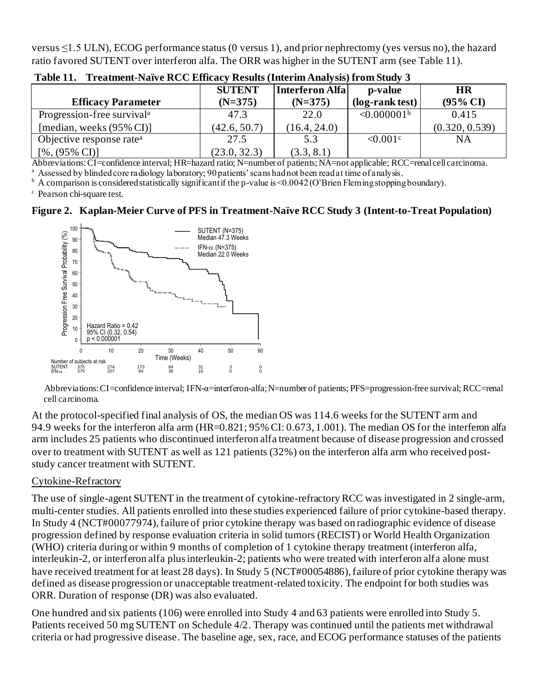versus ≤1.5 ULN), ECOG performance status (0 versus 1), and prior nephrectomy (yes versus no), the hazard ratio favored SUTENT over interferon alfa. The ORR was higher in the SUTENT arm (see Table 11).

|                                        | <b>SUTENT</b> | Interferon Alfa | p-value                 | <b>HR</b>           |
|----------------------------------------|---------------|-----------------|-------------------------|---------------------|
| <b>Efficacy Parameter</b>              | $(N=375)$     | $(N=375)$       | (log-rank test)         | $(95\% \text{ CI})$ |
| Progression-free survival <sup>a</sup> | 47.3          | 22.0            | < 0.000001 <sup>b</sup> | 0.415               |
| [median, weeks $(95\% \text{ CI})$ ]   | (42.6, 50.7)  | (16.4, 24.0)    |                         | (0.320, 0.539)      |
| Objective response rate <sup>a</sup>   | 27.5          | 5.3             | $\leq 0.001$ c          | NA                  |
| $[%,(95\% \text{ CI})]$                | (23.0, 32.3)  | (3.3, 8.1)      |                         |                     |

**Table 11. Treatment-Naïve RCC Efficacy Results (Interim Analysis) from Study 3**

Abbreviations: CI=confidence interval; HR=hazard ratio; N=number of patients; NA=not applicable; RCC=renal cell carcinoma.

<sup>a</sup> Assessed by blinded core radiology laboratory; 90 patients' scans had not been read at time of analysis.

 $b$  A comparison is considered statistically significant if the p-value is <0.0042 (O'Brien Fleming stopping boundary).

<sup>c</sup> Pearson chi-square test.

#### **Figure 2. Kaplan-Meier Curve of PFS in Treatment-Naïve RCC Study 3 (Intent-to-Treat Population)**



Abbreviations: CI=confidence interval; IFN-α=interferon-alfa;N=number of patients; PFS=progression-free survival; RCC=renal cell carcinoma.

At the protocol-specified final analysis of OS, the median OS was 114.6 weeks for the SUTENT arm and 94.9 weeks for the interferon alfa arm (HR=0.821; 95% CI: 0.673, 1.001). The median OS for the interferon alfa arm includes 25 patients who discontinued interferon alfa treatment because of disease progression and crossed over to treatment with SUTENT as well as 121 patients (32%) on the interferon alfa arm who received poststudy cancer treatment with SUTENT.

#### Cytokine-Refractory

The use of single-agent SUTENT in the treatment of cytokine-refractory RCC was investigated in 2 single-arm, multi-center studies. All patients enrolled into these studies experienced failure of prior cytokine-based therapy. In Study 4 (NCT#00077974), failure of prior cytokine therapy was based on radiographic evidence of disease progression defined by response evaluation criteria in solid tumors (RECIST) or World Health Organization (WHO) criteria during or within 9 months of completion of 1 cytokine therapy treatment (interferon alfa, interleukin-2, or interferon alfa plus interleukin-2; patients who were treated with interferon alfa alone must have received treatment for at least 28 days). In Study 5 (NCT#00054886), failure of prior cytokine therapy was defined as disease progression or unacceptable treatment-related toxicity. The endpoint for both studies was ORR. Duration of response (DR) was also evaluated.

One hundred and six patients (106) were enrolled into Study 4 and 63 patients were enrolled into Study 5. Patients received 50 mg SUTENT on Schedule 4/2. Therapy was continued until the patients met withdrawal criteria or had progressive disease. The baseline age, sex, race, and ECOG performance statuses of the patients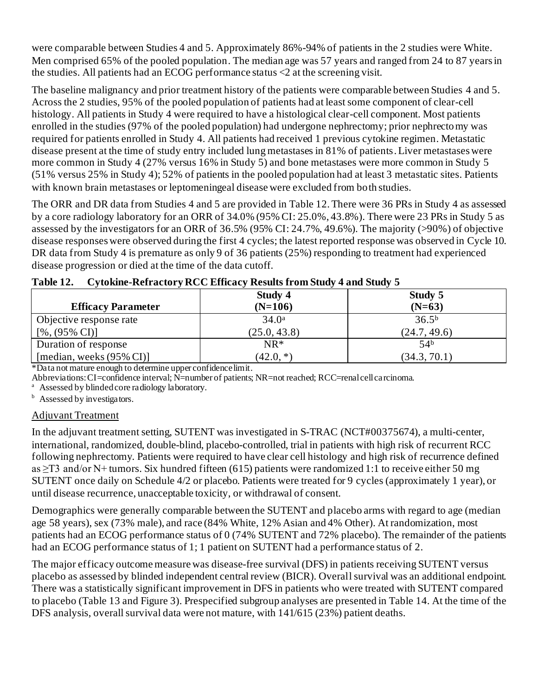were comparable between Studies 4 and 5. Approximately 86%-94% of patients in the 2 studies were White. Men comprised 65% of the pooled population. The median age was 57 years and ranged from 24 to 87 years in the studies. All patients had an ECOG performance status  $\langle 2 \rangle$  at the screening visit.

The baseline malignancy and prior treatment history of the patients were comparable between Studies 4 and 5. Across the 2 studies, 95% of the pooled population of patients had at least some component of clear-cell histology. All patients in Study 4 were required to have a histological clear-cell component. Most patients enrolled in the studies (97% of the pooled population) had undergone nephrectomy; prior nephrectomy was required for patients enrolled in Study 4. All patients had received 1 previous cytokine regimen. Metastatic disease present at the time of study entry included lung metastases in 81% of patients.Liver metastases were more common in Study 4 (27% versus 16% in Study 5) and bone metastases were more common in Study 5 (51% versus 25% in Study 4); 52% of patients in the pooled population had at least 3 metastatic sites. Patients with known brain metastases or leptomeningeal disease were excluded from both studies.

The ORR and DR data from Studies 4 and 5 are provided in Table 12.There were 36 PRs in Study 4 as assessed by a core radiology laboratory for an ORR of 34.0% (95% CI: 25.0%, 43.8%). There were 23 PRs in Study 5 as assessed by the investigators for an ORR of 36.5% (95% CI: 24.7%, 49.6%). The majority (>90%) of objective disease responses were observed during the first 4 cycles; the latest reported response was observed in Cycle 10. DR data from Study 4 is premature as only 9 of 36 patients (25%) responding to treatment had experienced disease progression or died at the time of the data cutoff.

|                                      | Study 5           |                   |
|--------------------------------------|-------------------|-------------------|
| <b>Efficacy Parameter</b>            | $(N=106)$         | $(N=63)$          |
| Objective response rate              | 34.0 <sup>a</sup> | 36.5 <sup>b</sup> |
| $[%,(95\% \text{ CI})]$              | (25.0, 43.8)      | (24.7, 49.6)      |
| Duration of response                 | $NR^*$            | 54 <sup>b</sup>   |
| [median, weeks $(95\% \text{ CI})$ ] | $(42.0, *)$       | (34.3, 70.1)      |

**Table 12. Cytokine-Refractory RCC Efficacy Results from Study 4 and Study 5**

\*Data not mature enough to determine upper confidence limit.

Abbreviations: CI=confidence interval; N=number of patients; NR=not reached; RCC=renal cell carcinoma.

Assessed by blinded core radiology laboratory.

<sup>b</sup> Assessed by investigators.

## Adjuvant Treatment

In the adjuvant treatment setting, SUTENT was investigated in S-TRAC (NCT#00375674), a multi-center, international, randomized, double-blind, placebo-controlled, trial in patients with high risk of recurrent RCC following nephrectomy. Patients were required to have clear cell histology and high risk of recurrence defined as ≥T3 and/or N+ tumors. Six hundred fifteen (615) patients were randomized 1:1 to receive either 50 mg SUTENT once daily on Schedule 4/2 or placebo. Patients were treated for 9 cycles (approximately 1 year), or until disease recurrence, unacceptable toxicity, or withdrawal of consent.

Demographics were generally comparable between the SUTENT and placebo arms with regard to age (median age 58 years), sex (73% male), and race (84% White, 12% Asian and 4% Other). At randomization, most patients had an ECOG performance status of 0 (74% SUTENT and 72% placebo). The remainder of the patients had an ECOG performance status of 1; 1 patient on SUTENT had a performance status of 2.

The major efficacy outcome measure was disease-free survival (DFS) in patients receiving SUTENT versus placebo as assessed by blinded independent central review (BICR). Overall survival was an additional endpoint. There was a statistically significant improvement in DFS in patients who were treated with SUTENT compared to placebo (Table 13 and Figure 3). Prespecified subgroup analyses are presented in Table 14. At the time of the DFS analysis, overall survival data were not mature, with 141/615 (23%) patient deaths.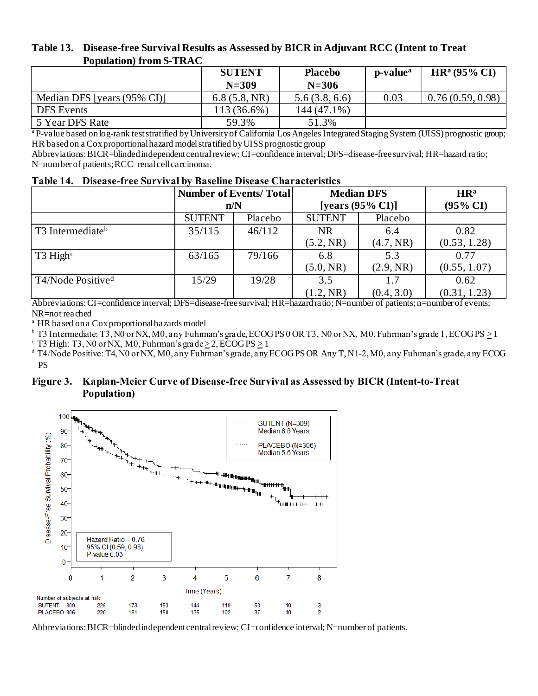#### **Table 13. Disease-free Survival Results as Assessed by BICR in Adjuvant RCC (Intent to Treat Population) from S-TRAC**

|                             | <b>SUTENT</b><br>$N = 309$ | <b>Placebo</b><br>$N = 306$ | p-value <sup>a</sup> | $HR^a(95\% CI)$  |
|-----------------------------|----------------------------|-----------------------------|----------------------|------------------|
| Median DFS [years (95% CI)] | 6.8(5.8, NR)               | 5.6(3.8, 6.6)               | 0.03                 | 0.76(0.59, 0.98) |
| <b>DFS</b> Events           | 113 (36.6%)                | 144 (47.1%)                 |                      |                  |
| 5 Year DFS Rate             | 59.3%                      | 51.3%                       |                      |                  |

<sup>a</sup> P-value based on log-rank test stratified by University of California Los Angeles Integrated Staging System (UISS) prognostic group; HR based on a Cox proportional hazard model stratified by UISS prognostic group

Abbreviations: BICR=blinded independent central review; CI=confidence interval; DFS=disease-free survival; HR=hazard ratio; N=number of patients; RCC=renal cell carcinoma.

|  |  |  |  |  | Table 14. Disease-free Survival by Baseline Disease Characteristics |
|--|--|--|--|--|---------------------------------------------------------------------|
|--|--|--|--|--|---------------------------------------------------------------------|

|                               | <b>Number of Events/Total</b> |         | <b>Median DFS</b> |                     | HR <sup>a</sup> |
|-------------------------------|-------------------------------|---------|-------------------|---------------------|-----------------|
|                               |                               | n/N     |                   | [years $(95% CI)$ ] |                 |
|                               | <b>SUTENT</b>                 | Placebo | <b>SUTENT</b>     | Placebo             |                 |
| T3 Intermediate <sup>b</sup>  | 35/115                        | 46/112  | <b>NR</b>         | 6.4                 | 0.82            |
|                               |                               |         | (5.2, NR)         | (4.7, NR)           | (0.53, 1.28)    |
| $T3$ High <sup>c</sup>        | 63/165                        | 79/166  | 6.8               | 5.3                 | 0.77            |
|                               |                               |         | (5.0, NR)         | (2.9, NR)           | (0.55, 1.07)    |
| T4/Node Positive <sup>d</sup> | 15/29                         | 19/28   | 3.5               | 1.7                 | 0.62            |
|                               |                               |         | (1.2, NR)         | (0.4, 3.0)          | (0.31, 1.23)    |

Abbreviations: CI=confidence interval; DFS=disease-free survival; HR=hazard ratio; N=number of patients; n=number of events; NR=not reached

<sup>a</sup> HR based on a Cox proportional hazards model

 $b$  T3 Intermediate: T3, N0 or NX, M0, any Fuhrman's grade, ECOG PS 0 OR T3, N0 or NX, M0, Fuhrman's grade 1, ECOG PS  $\geq$  1

 $\textdegree$  T3 High: T3, N0 or NX, M0, Fuhrman's grade  $\geq$  2, ECOGPS  $\geq$  1

 $^{\text{d}}$  T4/Node Positive: T4, N0 or NX, M0, any Fuhrman's grade, any ECOG PS OR Any T, N1-2, M0, any Fuhrman's grade, any ECOG PS

#### **Figure 3. Kaplan-Meier Curve of Disease-free Survival as Assessed by BICR (Intent-to-Treat Population)**



Abbreviations: BICR=blinded independent central review; CI=confidence interval; N=number of patients.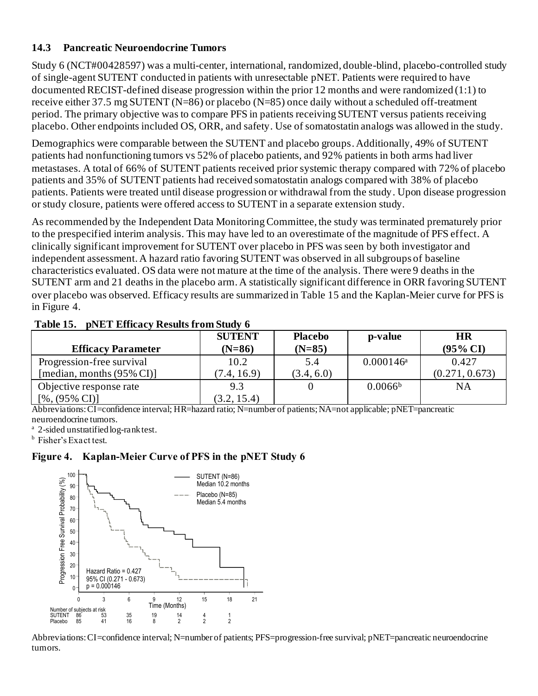### **14.3 Pancreatic Neuroendocrine Tumors**

Study 6 (NCT#00428597) was a multi-center, international, randomized, double-blind, placebo-controlled study of single-agent SUTENT conducted in patients with unresectable pNET. Patients were required to have documented RECIST-defined disease progression within the prior 12 months and were randomized (1:1) to receive either 37.5 mg SUTENT (N=86) or placebo (N=85) once daily without a scheduled off-treatment period. The primary objective was to compare PFS in patients receiving SUTENT versus patients receiving placebo. Other endpoints included OS, ORR, and safety. Use of somatostatin analogs was allowed in the study.

Demographics were comparable between the SUTENT and placebo groups. Additionally, 49% of SUTENT patients had nonfunctioning tumors vs 52% of placebo patients, and 92% patients in both arms had liver metastases. A total of 66% of SUTENT patients received prior systemic therapy compared with 72% of placebo patients and 35% of SUTENT patients had received somatostatin analogs compared with 38% of placebo patients. Patients were treated until disease progression or withdrawal from the study. Upon disease progression or study closure, patients were offered access to SUTENT in a separate extension study.

As recommended by the Independent Data Monitoring Committee, the study was terminated prematurely prior to the prespecified interim analysis. This may have led to an overestimate of the magnitude of PFS effect. A clinically significant improvement for SUTENT over placebo in PFS was seen by both investigator and independent assessment. A hazard ratio favoring SUTENT was observed in all subgroups of baseline characteristics evaluated. OS data were not mature at the time of the analysis. There were 9 deaths in the SUTENT arm and 21 deaths in the placebo arm. A statistically significant difference in ORR favoring SUTENT over placebo was observed. Efficacy results are summarized in Table 15 and the Kaplan-Meier curve for PFS is in Figure 4.

|                                       | <b>SUTENT</b> | <b>Placebo</b> | p-value                 | <b>HR</b>           |
|---------------------------------------|---------------|----------------|-------------------------|---------------------|
| <b>Efficacy Parameter</b>             | $(N=86)$      | $(N=85)$       |                         | $(95\% \text{ CI})$ |
| Progression-free survival             | 10.2          | 5.4            | $0.000146$ <sup>a</sup> | 0.427               |
| [median, months $(95\% \text{ CI})$ ] | (7.4, 16.9)   | (3.4, 6.0)     |                         | (0.271, 0.673)      |
| Objective response rate               | 9.3           |                | 0.0066 <sup>b</sup>     | <b>NA</b>           |
| $[%,(95\% \text{ CI})]$               | (3.2, 15.4)   |                |                         |                     |

#### **Table 15. pNET Efficacy Results from Study 6**

Abbreviations: CI=confidence interval; HR=hazard ratio; N=number of patients; NA=not applicable; pNET=pancreatic neuroendocrine tumors.

<sup>a</sup> 2-sided unstratified log-rank test.

**b** Fisher's Exact test.

#### **Figure 4. Kaplan-Meier Curve of PFS in the pNET Study 6**



Abbreviations: CI=confidence interval; N=number of patients; PFS=progression-free survival; pNET=pancreatic neuroendocrine tumors.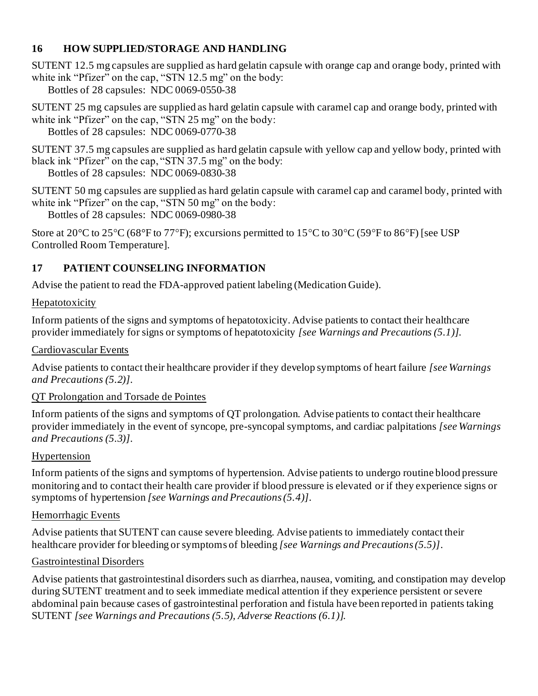## **16 HOW SUPPLIED/STORAGE AND HANDLING**

SUTENT 12.5 mg capsules are supplied as hard gelatin capsule with orange cap and orange body, printed with white ink "Pfizer" on the cap, "STN 12.5 mg" on the body:

Bottles of 28 capsules: NDC 0069-0550-38

SUTENT 25 mg capsules are supplied as hard gelatin capsule with caramel cap and orange body, printed with white ink "Pfizer" on the cap, "STN 25 mg" on the body: Bottles of 28 capsules: NDC 0069-0770-38

SUTENT 37.5 mg capsules are supplied as hard gelatin capsule with yellow cap and yellow body, printed with black ink "Pfizer" on the cap, "STN 37.5 mg" on the body:

Bottles of 28 capsules: NDC 0069-0830-38

SUTENT 50 mg capsules are supplied as hard gelatin capsule with caramel cap and caramel body, printed with white ink "Pfizer" on the cap, "STN 50 mg" on the body:

Bottles of 28 capsules: NDC 0069-0980-38

Store at 20 $^{\circ}$ C to 25 $^{\circ}$ C (68 $^{\circ}$ F to 77 $^{\circ}$ F); excursions permitted to 15 $^{\circ}$ C to 30 $^{\circ}$ C (59 $^{\circ}$ F to 86 $^{\circ}$ F) [see USP Controlled Room Temperature].

# **17 PATIENT COUNSELING INFORMATION**

Advise the patient to read the FDA-approved patient labeling (Medication Guide).

## Hepatotoxicity

Inform patients of the signs and symptoms of hepatotoxicity. Advise patients to contact their healthcare provider immediately for signs or symptoms of hepatotoxicity *[see Warnings and Precautions (5.1)]*.

## Cardiovascular Events

Advise patients to contact their healthcare provider if they develop symptoms of heart failure *[see Warnings and Precautions (5.2)]*.

# QT Prolongation and Torsade de Pointes

Inform patients of the signs and symptoms of QT prolongation. Advise patients to contact their healthcare provider immediately in the event of syncope, pre-syncopal symptoms, and cardiac palpitations *[see Warnings and Precautions (5.3)]*.

# Hypertension

Inform patients of the signs and symptoms of hypertension. Advise patients to undergo routine blood pressure monitoring and to contact their health care provider if blood pressure is elevated or if they experience signs or symptoms of hypertension *[see Warnings and Precautions (5.4)]*.

# Hemorrhagic Events

Advise patients that SUTENT can cause severe bleeding. Advise patients to immediately contact their healthcare provider for bleeding or symptoms of bleeding *[see Warnings and Precautions (5.5)]*.

# Gastrointestinal Disorders

Advise patients that gastrointestinal disorders such as diarrhea, nausea, vomiting, and constipation may develop during SUTENT treatment and to seek immediate medical attention if they experience persistent or severe abdominal pain because cases of gastrointestinal perforation and fistula have been reported in patients taking SUTENT *[see Warnings and Precautions (5.5), Adverse Reactions (6.1)].*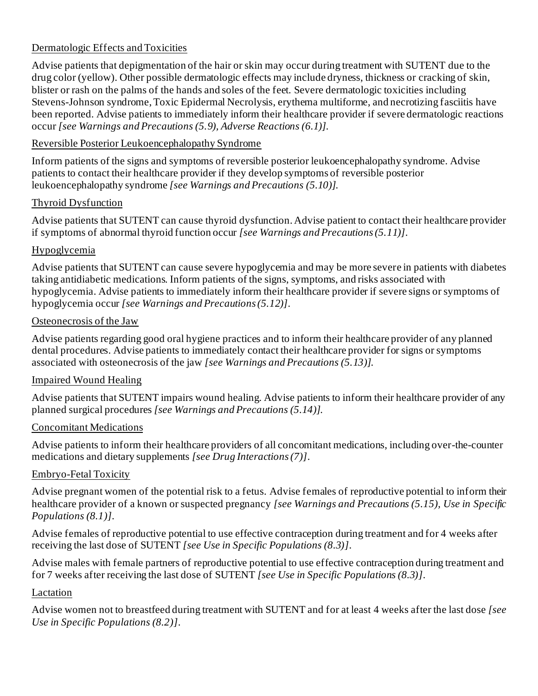## Dermatologic Effects and Toxicities

Advise patients that depigmentation of the hair or skin may occur during treatment with SUTENT due to the drug color (yellow). Other possible dermatologic effects may include dryness, thickness or cracking of skin, blister or rash on the palms of the hands and soles of the feet. Severe dermatologic toxicities including Stevens-Johnson syndrome, Toxic Epidermal Necrolysis, erythema multiforme, and necrotizing fasciitis have been reported. Advise patients to immediately inform their healthcare provider if severe dermatologic reactions occur *[see Warnings and Precautions (5.9), Adverse Reactions (6.1)].*

## Reversible Posterior Leukoencephalopathy Syndrome

Inform patients of the signs and symptoms of reversible posterior leukoencephalopathy syndrome. Advise patients to contact their healthcare provider if they develop symptoms of reversible posterior leukoencephalopathy syndrome *[see Warnings and Precautions (5.10)]*.

## Thyroid Dysfunction

Advise patients that SUTENT can cause thyroid dysfunction. Advise patient to contact their healthcare provider if symptoms of abnormal thyroid function occur *[see Warnings and Precautions (5.11)]*.

## Hypoglycemia

Advise patients that SUTENT can cause severe hypoglycemia and may be more severe in patients with diabetes taking antidiabetic medications. Inform patients of the signs, symptoms, and risks associated with hypoglycemia. Advise patients to immediately inform their healthcare provider if severe signs or symptoms of hypoglycemia occur *[see Warnings and Precautions (5.12)]*.

### Osteonecrosis of the Jaw

Advise patients regarding good oral hygiene practices and to inform their healthcare provider of any planned dental procedures. Advise patients to immediately contact their healthcare provider for signs or symptoms associated with osteonecrosis of the jaw *[see Warnings and Precautions (5.13)]*.

## Impaired Wound Healing

Advise patients that SUTENT impairs wound healing. Advise patients to inform their healthcare provider of any planned surgical procedures *[see Warnings and Precautions (5.14)]*.

## Concomitant Medications

Advise patients to inform their healthcare providers of all concomitant medications, including over-the-counter medications and dietary supplements *[see Drug Interactions (7)]*.

## Embryo-Fetal Toxicity

Advise pregnant women of the potential risk to a fetus. Advise females of reproductive potential to inform their healthcare provider of a known or suspected pregnancy *[see Warnings and Precautions (5.15), Use in Specific Populations (8.1)]*.

Advise females of reproductive potential to use effective contraception during treatment and for 4 weeks after receiving the last dose of SUTENT *[see Use in Specific Populations (8.3)]*.

Advise males with female partners of reproductive potential to use effective contraception during treatment and for 7 weeks after receiving the last dose of SUTENT *[see Use in Specific Populations (8.3)]*.

## Lactation

Advise women not to breastfeed during treatment with SUTENT and for at least 4 weeks after the last dose *[see Use in Specific Populations (8.2)]*.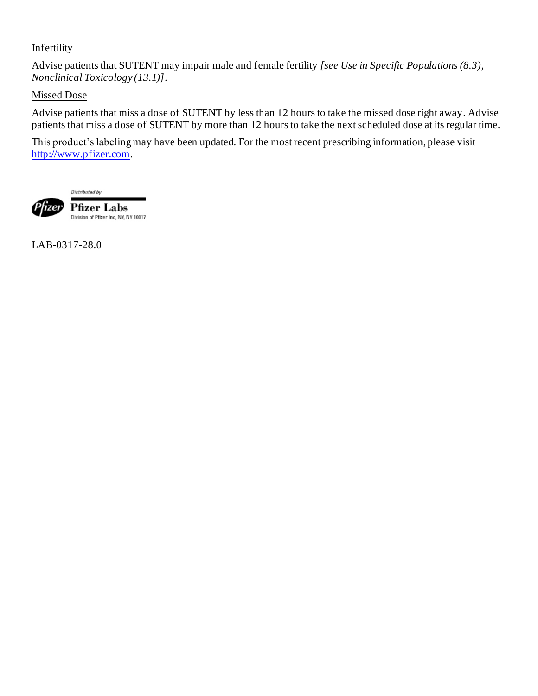### **Infertility**

Advise patients that SUTENT may impair male and female fertility *[see Use in Specific Populations (8.3), Nonclinical Toxicology (13.1)]*.

## Missed Dose

Advise patients that miss a dose of SUTENT by less than 12 hours to take the missed dose right away. Advise patients that miss a dose of SUTENT by more than 12 hours to take the next scheduled dose at its regular time.

This product's labeling may have been updated. For the most recent prescribing information, please visit [http://www.pfizer.com](https://www.pfizer.com/).

Distributed by



Pfizer Labs Division of Pfizer Inc, NY, NY 10017

LAB-0317-28.0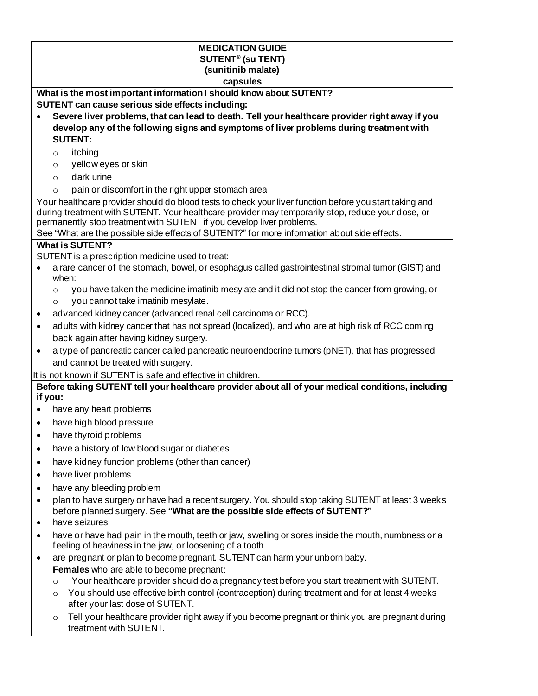#### **MEDICATION GUIDE SUTENT® (su TENT) (sunitinib malate) capsules**

**What is the most important information I should know about SUTENT? SUTENT can cause serious side effects including:**

- **Severe liver problems, that can lead to death. Tell your healthcare provider right away if you develop any of the following signs and symptoms of liver problems during treatment with SUTENT:**
	- o itching
	- o yellow eyes or skin
	- o dark urine
	- $\circ$  pain or discomfort in the right upper stomach area

Your healthcare provider should do blood tests to check your liver function before you start taking and during treatment with SUTENT. Your healthcare provider may temporarily stop, reduce your dose, or permanently stop treatment with SUTENT if you develop liver problems.

See "What are the possible side effects of SUTENT?" for more information about side effects.

#### **What is SUTENT?**

SUTENT is a prescription medicine used to treat:

- a rare cancer of the stomach, bowel, or esophagus called gastrointestinal stromal tumor (GIST) and when:
	- $\circ$  you have taken the medicine imatinib mesylate and it did not stop the cancer from growing, or
	- o you cannot take imatinib mesylate.
- advanced kidney cancer (advanced renal cell carcinoma or RCC).
- adults with kidney cancer that has not spread (localized), and who are at high risk of RCC coming back again after having kidney surgery.
- a type of pancreatic cancer called pancreatic neuroendocrine tumors (pNET), that has progressed and cannot be treated with surgery.

It is not known if SUTENT is safe and effective in children.

**Before taking SUTENT tell your healthcare provider about all of your medical conditions, including if you:**

- have any heart problems
- have high blood pressure
- have thyroid problems
- have a history of low blood sugar or diabetes
- have kidney function problems (other than cancer)
- have liver problems
- have any bleeding problem
- plan to have surgery or have had a recent surgery. You should stop taking SUTENT at least 3 weeks before planned surgery. See **"What are the possible side effects of SUTENT?"**
- have seizures
- have or have had pain in the mouth, teeth or jaw, swelling or sores inside the mouth, numbness or a feeling of heaviness in the jaw, or loosening of a tooth
- are pregnant or plan to become pregnant. SUTENT can harm your unborn baby. **Females** who are able to become pregnant:
	- $\circ$  Your healthcare provider should do a pregnancy test before you start treatment with SUTENT.
	- $\circ$  You should use effective birth control (contraception) during treatment and for at least 4 weeks after your last dose of SUTENT.
	- $\circ$  Tell your healthcare provider right away if you become pregnant or think you are pregnant during treatment with SUTENT.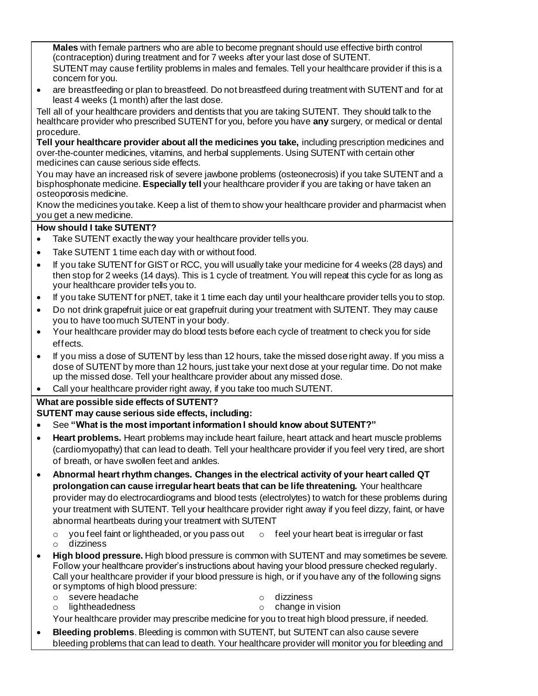**Males** with female partners who are able to become pregnant should use effective birth control (contraception) during treatment and for 7 weeks after your last dose of SUTENT. SUTENT may cause fertility problems in males and females. Tell your healthcare provider if this is a concern for you.

• are breastfeeding or plan to breastfeed. Do not breastfeed during treatment with SUTENT and for at least 4 weeks (1 month) after the last dose.

Tell all of your healthcare providers and dentists that you are taking SUTENT. They should talk to the healthcare provider who prescribed SUTENT for you, before you have **any** surgery, or medical or dental procedure.

**Tell your healthcare provider about all the medicines you take,** including prescription medicines and over-the-counter medicines, vitamins, and herbal supplements. Using SUTENT with certain other medicines can cause serious side effects.

You may have an increased risk of severe jawbone problems (osteonecrosis) if you take SUTENT and a bisphosphonate medicine. **Especially tell** your healthcare provider if you are taking or have taken an osteoporosis medicine.

Know the medicines you take. Keep a list of them to show your healthcare provider and pharmacist when you get a new medicine.

#### **How should I take SUTENT?**

- Take SUTENT exactly the way your healthcare provider tells you.
- Take SUTENT 1 time each day with or without food.
- If you take SUTENT for GIST or RCC, you will usually take your medicine for 4 weeks (28 days) and then stop for 2 weeks (14 days). This is 1 cycle of treatment. You will repeat this cycle for as long as your healthcare provider tells you to.
- If you take SUTENT for pNET, take it 1 time each day until your healthcare provider tells you to stop.
- Do not drink grapefruit juice or eat grapefruit during your treatment with SUTENT. They may cause you to have too much SUTENT in your body.
- Your healthcare provider may do blood tests before each cycle of treatment to check you for side effects.
- If you miss a dose of SUTENT by less than 12 hours, take the missed dose right away. If you miss a dose of SUTENT by more than 12 hours, just take your next dose at your regular time. Do not make up the missed dose. Tell your healthcare provider about any missed dose.
- Call your healthcare provider right away, if you take too much SUTENT.

#### **What are possible side effects of SUTENT?**

**SUTENT may cause serious side effects, including:**

- See **"What is the most important information I should know about SUTENT?"**
- **Heart problems.** Heart problems may include heart failure, heart attack and heart muscle problems (cardiomyopathy) that can lead to death. Tell your healthcare provider if you feel very tired, are short of breath, or have swollen feet and ankles.
- **Abnormal heart rhythm changes. Changes in the electrical activity of your heart called QT prolongation can cause irregular heart beats that can be life threatening.** Your healthcare provider may do electrocardiograms and blood tests (electrolytes) to watch for these problems during your treatment with SUTENT. Tell your healthcare provider right away if you feel dizzy, faint, or have abnormal heartbeats during your treatment with SUTENT

 $\circ$  you feel faint or lightheaded, or you pass out  $\quad \circ$  feel your heart beat is irregular or fast o dizziness

- **High blood pressure.** High blood pressure is common with SUTENT and may sometimes be severe. Follow your healthcare provider's instructions about having your blood pressure checked regularly. Call your healthcare provider if your blood pressure is high, or if you have any of the following signs or symptoms of high blood pressure:
	- o severe headache o dizziness
	- o lightheadedness o change in vision

Your healthcare provider may prescribe medicine for you to treat high blood pressure, if needed.

• **Bleeding problems**. Bleeding is common with SUTENT, but SUTENT can also cause severe bleeding problems that can lead to death. Your healthcare provider will monitor you for bleeding and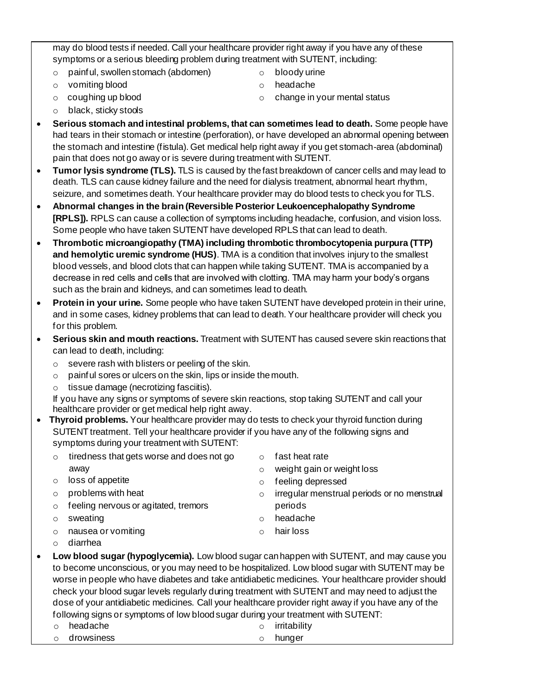may do blood tests if needed. Call your healthcare provider right away if you have any of these symptoms or a serious bleeding problem during treatment with SUTENT, including:

- o painful, swollen stomach (abdomen)
- o vomiting blood

o bloody urine

o change in your mental status

o headache

- o coughing up blood
- o black, sticky stools
- **Serious stomach and intestinal problems, that can sometimes lead to death.** Some people have had tears in their stomach or intestine (perforation), or have developed an abnormal opening between the stomach and intestine (fistula). Get medical help right away if you get stomach-area (abdominal) pain that does not go away or is severe during treatment with SUTENT.
- **Tumor lysis syndrome (TLS).** TLS is caused by the fast breakdown of cancer cells and may lead to death. TLS can cause kidney failure and the need for dialysis treatment, abnormal heart rhythm, seizure, and sometimes death. Your healthcare provider may do blood tests to check you for TLS.
- **Abnormal changes in the brain (Reversible Posterior Leukoencephalopathy Syndrome [RPLS]).** RPLS can cause a collection of symptoms including headache, confusion, and vision loss. Some people who have taken SUTENT have developed RPLS that can lead to death.
- **Thrombotic microangiopathy (TMA) including thrombotic thrombocytopenia purpura (TTP) and hemolytic uremic syndrome (HUS)**. TMA is a condition that involves injury to the smallest blood vessels, and blood clots that can happen while taking SUTENT. TMA is accompanied by a decrease in red cells and cells that are involved with clotting. TMA may harm your body's organs such as the brain and kidneys, and can sometimes lead to death.
- **Protein in your urine.** Some people who have taken SUTENT have developed protein in their urine, and in some cases, kidney problems that can lead to death. Your healthcare provider will check you for this problem.
- **Serious skin and mouth reactions.** Treatment with SUTENT has caused severe skin reactions that can lead to death, including:
	- o severe rash with blisters or peeling of the skin.
	- $\circ$  painful sores or ulcers on the skin, lips or inside the mouth.
	- $\circ$  tissue damage (necrotizing fasciitis).

If you have any signs or symptoms of severe skin reactions, stop taking SUTENT and call your healthcare provider or get medical help right away.

- **Thyroid problems.** Your healthcare provider may do tests to check your thyroid function during SUTENT treatment. Tell your healthcare provider if you have any of the following signs and symptoms during your treatment with SUTENT:
	- o tiredness that gets worse and does not go away
	- o loss of appetite
	- o problems with heat

o nausea or vomiting

- o feeling nervous or agitated, tremors
- o irregular menstrual periods or no menstrual periods
	- o headache

o fast heat rate

o feeling depressed

o weight gain or weight loss

o hair loss

o diarrhea

o sweating

- **Low blood sugar (hypoglycemia).** Low blood sugar can happen with SUTENT, and may cause you to become unconscious, or you may need to be hospitalized. Low blood sugar with SUTENT may be worse in people who have diabetes and take antidiabetic medicines. Your healthcare provider should check your blood sugar levels regularly during treatment with SUTENT and may need to adjust the dose of your antidiabetic medicines. Call your healthcare provider right away if you have any of the following signs or symptoms of low blood sugar during your treatment with SUTENT:
	- o headache o irritability
	- o drowsiness
- 
- 
- - o hunger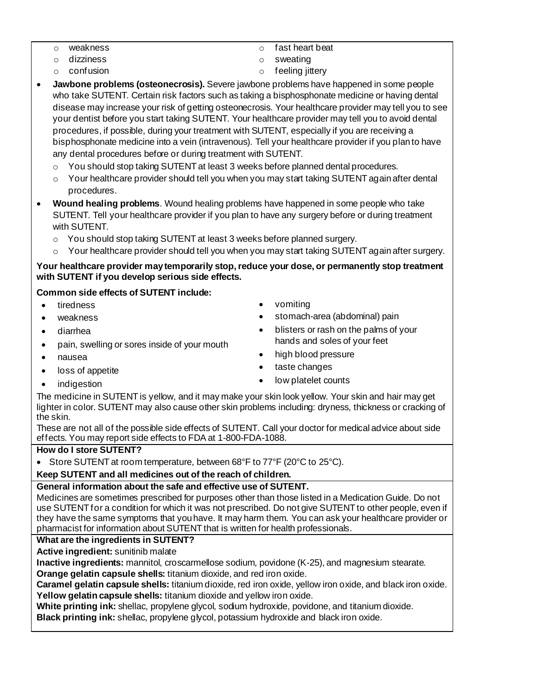- o weakness
- o dizziness
- o confusion
- o fast heart beat
- o sweating
- o feeling jittery
- **Jawbone problems (osteonecrosis).** Severe jawbone problems have happened in some people who take SUTENT. Certain risk factors such as taking a bisphosphonate medicine or having dental disease may increase your risk of getting osteonecrosis. Your healthcare provider may tell you to see your dentist before you start taking SUTENT. Your healthcare provider may tell you to avoid dental procedures, if possible, during your treatment with SUTENT, especially if you are receiving a bisphosphonate medicine into a vein (intravenous). Tell your healthcare provider if you plan to have any dental procedures before or during treatment with SUTENT.
	- $\circ$  You should stop taking SUTENT at least 3 weeks before planned dental procedures.
	- $\circ$  Your healthcare provider should tell you when you may start taking SUTENT again after dental procedures.
- **Wound healing problems**. Wound healing problems have happened in some people who take SUTENT. Tell your healthcare provider if you plan to have any surgery before or during treatment with SUTENT.
	- o You should stop taking SUTENT at least 3 weeks before planned surgery.
	- $\circ$  Your healthcare provider should tell you when you may start taking SUTENT again after surgery.

#### **Your healthcare provider may temporarily stop, reduce your dose, or permanently stop treatment with SUTENT if you develop serious side effects.**

#### **Common side effects of SUTENT include:**

• tiredness

- vomiting
	- stomach-area (abdominal) pain

hands and soles of your feet

• blisters or rash on the palms of your

• diarrhea

weakness

- pain, swelling or sores inside of your mouth
- nausea
- loss of appetite **indigestion**

taste changes

• high blood pressure

- low platelet counts
- The medicine in SUTENT is yellow, and it may make your skin look yellow. Your skin and hair may get lighter in color. SUTENT may also cause other skin problems including: dryness, thickness or cracking of the skin.

These are not all of the possible side effects of SUTENT. Call your doctor for medical advice about side effects. You may report side effects to FDA at 1-800-FDA-1088.

#### **How do I store SUTENT?**

• Store SUTENT at room temperature, between 68°F to 77°F (20°C to 25°C).

#### **Keep SUTENT and all medicines out of the reach of children.**

#### **General information about the safe and effective use of SUTENT.**

Medicines are sometimes prescribed for purposes other than those listed in a Medication Guide. Do not use SUTENT for a condition for which it was not prescribed. Do not give SUTENT to other people, even if they have the same symptoms that you have. It may harm them. You can ask your healthcare provider or pharmacist for information about SUTENT that is written for health professionals.

#### **What are the ingredients in SUTENT?**

**Active ingredient:** sunitinib malate

**Inactive ingredients:** mannitol, croscarmellose sodium, povidone (K-25), and magnesium stearate.

**Orange gelatin capsule shells:** titanium dioxide, and red iron oxide.

**Caramel gelatin capsule shells:** titanium dioxide, red iron oxide, yellow iron oxide, and black iron oxide. **Yellow gelatin capsule shells:** titanium dioxide and yellow iron oxide.

**White printing ink:** shellac, propylene glycol, sodium hydroxide, povidone, and titanium dioxide.

**Black printing ink:** shellac, propylene glycol, potassium hydroxide and black iron oxide.